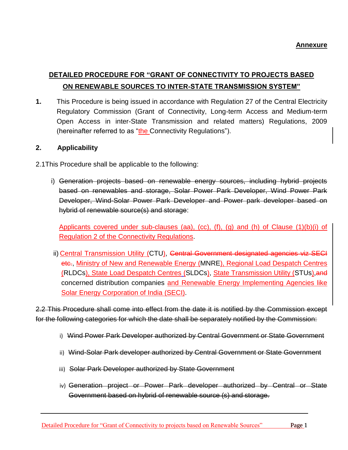# **DETAILED PROCEDURE FOR "GRANT OF CONNECTIVITY TO PROJECTS BASED ON RENEWABLE SOURCES TO INTER-STATE TRANSMISSION SYSTEM"**

**1.** This Procedure is being issued in accordance with Regulation 27 of the Central Electricity Regulatory Commission (Grant of Connectivity, Long-term Access and Medium-term Open Access in inter-State Transmission and related matters) Regulations, 2009 (hereinafter referred to as "the Connectivity Regulations").

## **2. Applicability**

- 2.1This Procedure shall be applicable to the following:
	- i) Generation projects based on renewable energy sources, including hybrid projects based on renewables and storage, Solar Power Park Developer, Wind Power Park Developer, Wind-Solar Power Park Developer and Power park developer based on hybrid of renewable source(s) and storage:

Applicants covered under sub-clauses (aa), (cc), (f), (g) and (h) of Clause  $(1)(b)(i)$  of Regulation 2 of the Connectivity Regulations.

ii) Central Transmission Utility (CTU), Central Government designated agencies viz SECI etc., Ministry of New and Renewable Energy (MNRE), Regional Load Despatch Centres (RLDCs), State Load Despatch Centres (SLDCs), State Transmission Utility (STUs),and concerned distribution companies and Renewable Energy Implementing Agencies like Solar Energy Corporation of India (SECI).

2.2 This Procedure shall come into effect from the date it is notified by the Commission except for the following categories for which the date shall be separately notified by the Commission:

- i) Wind Power Park Developer authorized by Central Government or State Government
- ii) Wind-Solar Park developer authorized by Central Government or State Government
- iii) Solar Park Developer authorized by State Government
- iv) Generation project or Power Park developer authorized by Central or State Government based on hybrid of renewable source (s) and storage.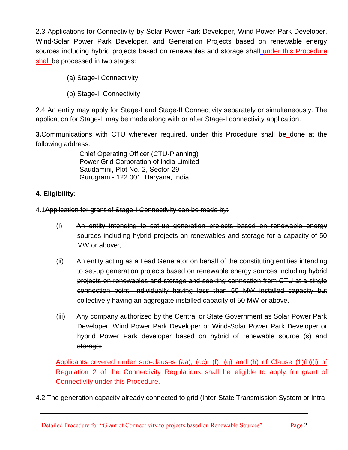2.3 Applications for Connectivity by Solar Power Park Developer, Wind Power Park Developer, Wind-Solar Power Park Developer, and Generation Projects based on renewable energy sources including hybrid projects based on renewables and storage shall under this Procedure shall be processed in two stages:

- (a) Stage-I Connectivity
- (b) Stage-II Connectivity

2.4 An entity may apply for Stage-I and Stage-II Connectivity separately or simultaneously. The application for Stage-II may be made along with or after Stage-I connectivity application.

**3.**Communications with CTU wherever required, under this Procedure shall be done at the following address:

> Chief Operating Officer (CTU-Planning) Power Grid Corporation of India Limited Saudamini, Plot No.-2, Sector-29 Gurugram - 122 001, Haryana, India

## **4. Eligibility:**

4.1Application for grant of Stage-I Connectivity can be made by:

- (i) An entity intending to set-up generation projects based on renewable energy sources including hybrid projects on renewables and storage for a capacity of 50 MW or above:
- (ii) An entity acting as a Lead Generator on behalf of the constituting entities intending to set-up generation projects based on renewable energy sources including hybrid projects on renewables and storage and seeking connection from CTU at a single connection point, individually having less than 50 MW installed capacity but collectively having an aggregate installed capacity of 50 MW or above.
- (iii) Any company authorized by the Central or State Government as Solar Power Park Developer, Wind Power Park Developer or Wind-Solar Power Park Developer or hybrid Power Park developer based on hybrid of renewable source (s) and storage:

Applicants covered under sub-clauses (aa), (cc), (f), (g) and (h) of Clause (1)(b)(i) of Regulation 2 of the Connectivity Regulations shall be eligible to apply for grant of Connectivity under this Procedure.

4.2 The generation capacity already connected to grid (Inter-State Transmission System or Intra-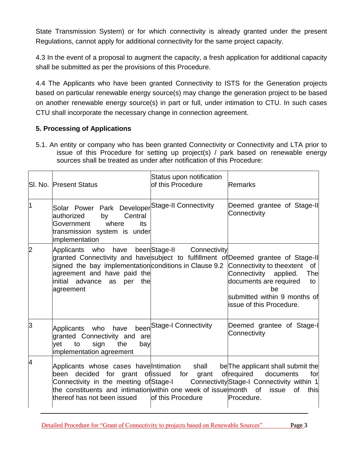State Transmission System) or for which connectivity is already granted under the present Regulations, cannot apply for additional connectivity for the same project capacity.

4.3 In the event of a proposal to augment the capacity, a fresh application for additional capacity shall be submitted as per the provisions of this Procedure.

4.4 The Applicants who have been granted Connectivity to ISTS for the Generation projects based on particular renewable energy source(s) may change the generation project to be based on another renewable energy source(s) in part or full, under intimation to CTU. In such cases CTU shall incorporate the necessary change in connection agreement.

## **5. Processing of Applications**

5.1. An entity or company who has been granted Connectivity or Connectivity and LTA prior to issue of this Procedure for setting up project(s) / park based on renewable energy sources shall be treated as under after notification of this Procedure:

|                | <b>SI. No. Present Status</b>                                                                                                                                                                                                                                                            | Status upon notification<br>of this Procedure | <b>Remarks</b>                                                                                                                                                |
|----------------|------------------------------------------------------------------------------------------------------------------------------------------------------------------------------------------------------------------------------------------------------------------------------------------|-----------------------------------------------|---------------------------------------------------------------------------------------------------------------------------------------------------------------|
| 1              | Solar Power Park Developer <sup>Stage-II Connectivity</sup><br>Central<br>authorized<br>by<br>where<br>Government<br>its<br>transmission system is under<br>implementation                                                                                                               |                                               | Deemed grantee of Stage-II<br>Connectivity                                                                                                                    |
| $\overline{2}$ | Applicants who<br>have<br>granted Connectivity and havesubject to fulfillment of Deemed grantee of Stage-II<br>signed the bay implementation conditions in Clause 9.2 Connectivity to theextent of<br>agreement and have paid the<br>initial<br>advance<br>the<br>per<br>as<br>agreement | beenStage-II Connectivity                     | Connectivity<br>applied.<br>The<br>documents are required<br>to<br>he<br>submitted within 9 months of<br>lissue of this Procedure.                            |
| 3              | Applicants who<br>have<br>granted Connectivity and<br>are<br>sign<br>the<br>vet<br>to<br>bay<br>implementation agreement                                                                                                                                                                 | been Stage-I Connectivity                     | Deemed grantee of Stage-I<br>Connectivity                                                                                                                     |
| 4              | Applicants whose cases have Intimation shall<br>decided for grant<br>been<br>Connectivity in the meeting of Stage-I<br>the constituents and intimation within one week of issue month of<br>lthereof has not been issued                                                                 | ofissued for<br>grant<br>of this Procedure    | be The applicant shall submit the<br>ofrequired<br>documents<br>for<br>Connectivity Stage-I Connectivity within 1<br><b>of</b><br>issue<br>this<br>Procedure. |

Detailed Procedure for "Grant of Connectivity to projects based on Renewable Sources" Page 3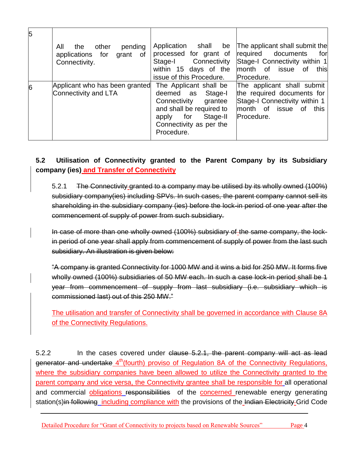| 5 |                                                                                 |                                                                                                                                                                      |                                                                                                                                         |
|---|---------------------------------------------------------------------------------|----------------------------------------------------------------------------------------------------------------------------------------------------------------------|-----------------------------------------------------------------------------------------------------------------------------------------|
|   | All<br>other<br>pending<br>the<br>applications for<br>grant of<br>Connectivity. | Application shall<br>be<br>processed for grant of<br>Stage-I Connectivity<br>within 15 days of the<br>issue of this Procedure.                                       | The applicant shall submit the<br>required documents<br>for<br>Stage-I Connectivity within 1<br>month of issue of<br>this<br>Procedure. |
| 6 | Applicant who has been granted<br>Connectivity and LTA                          | The Applicant shall be<br>deemed as Stage-I<br>Connectivity<br>grantee<br>and shall be required to<br>Stage-II<br>apply for<br>Connectivity as per the<br>Procedure. | The applicant shall submit<br>the required documents for<br>Stage-I Connectivity within 1<br>month of issue of<br>this<br>Procedure.    |

## **5.2 Utilisation of Connectivity granted to the Parent Company by its Subsidiary company (ies) and Transfer of Connectivity**

5.2.1 The Connectivity granted to a company may be utilised by its wholly owned (100%) subsidiary company(ies) including SPVs. In such cases, the parent company cannot sell its shareholding in the subsidiary company (ies) before the lock-in period of one year after the commencement of supply of power from such subsidiary.

In case of more than one wholly owned (100%) subsidiary of the same company, the lockin period of one year shall apply from commencement of supply of power from the last such subsidiary. An illustration is given below:

"A company is granted Connectivity for 1000 MW and it wins a bid for 250 MW. It forms five wholly owned (100%) subsidiaries of 50 MW each. In such a case lock-in period shall be 1 year from commencement of supply from last subsidiary (i.e. subsidiary which is commissioned last) out of this 250 MW."

The utilisation and transfer of Connectivity shall be governed in accordance with Clause 8A of the Connectivity Regulations.

5.2.2 In the cases covered under clause 5.2.1, the parent company will act as lead generator and undertake 4<sup>th</sup>(fourth) proviso of Regulation 8A of the Connectivity Regulations, where the subsidiary companies have been allowed to utilize the Connectivity granted to the parent company and vice versa, the Connectivity grantee shall be responsible for all operational and commercial obligations responsibilities of the concerned renewable energy generating station(s)in following including compliance with the provisions of the Indian Electricity Grid Code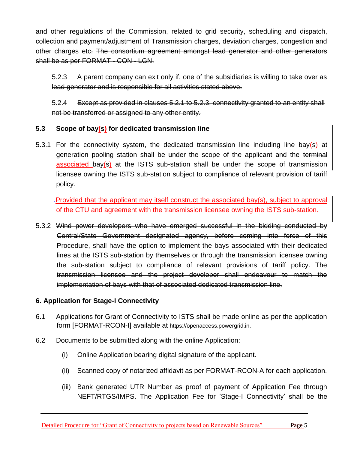and other regulations of the Commission, related to grid security, scheduling and dispatch, collection and payment/adjustment of Transmission charges, deviation charges, congestion and other charges etc. The consortium agreement amongst lead generator and other generators shall be as per FORMAT - CON - LGN.

5.2.3 A parent company can exit only if, one of the subsidiaries is willing to take over as lead generator and is responsible for all activities stated above.

5.2.4 Except as provided in clauses 5.2.1 to 5.2.3, connectivity granted to an entity shall not be transferred or assigned to any other entity.

## **5.3 Scope of bay(s) for dedicated transmission line**

5.3.1 For the connectivity system, the dedicated transmission line including line bay(s) at generation pooling station shall be under the scope of the applicant and the terminal associated bay(s) at the ISTS sub-station shall be under the scope of transmission licensee owning the ISTS sub-station subject to compliance of relevant provision of tariff policy.

.Provided that the applicant may itself construct the associated bay(s), subject to approval of the CTU and agreement with the transmission licensee owning the ISTS sub-station.

5.3.2 Wind power developers who have emerged successful in the bidding conducted by Central/State Government designated agency, before coming into force of this Procedure, shall have the option to implement the bays associated with their dedicated lines at the ISTS sub-station by themselves or through the transmission licensee owning the sub-station subject to compliance of relevant provisions of tariff policy. The transmission licensee and the project developer shall endeavour to match the implementation of bays with that of associated dedicated transmission line.

#### **6. Application for Stage-I Connectivity**

- 6.1 Applications for Grant of Connectivity to ISTS shall be made online as per the application form [FORMAT-RCON-I] available at https://openaccess.powergrid.in.
- 6.2 Documents to be submitted along with the online Application:
	- (i) Online Application bearing digital signature of the applicant.
	- (ii) Scanned copy of notarized affidavit as per FORMAT-RCON-A for each application.
	- (iii) Bank generated UTR Number as proof of payment of Application Fee through NEFT/RTGS/IMPS. The Application Fee for "Stage-I Connectivity" shall be the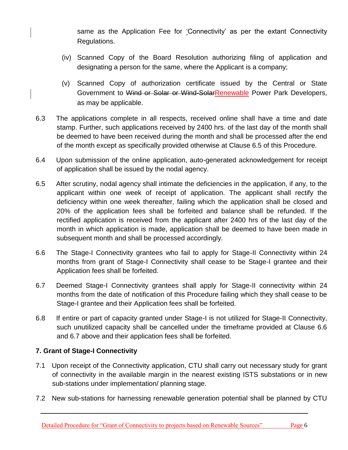same as the Application Fee for "Connectivity" as per the extant Connectivity Regulations.

- (iv) Scanned Copy of the Board Resolution authorizing filing of application and designating a person for the same, where the Applicant is a company;
- (v) Scanned Copy of authorization certificate issued by the Central or State Government to Wind or Solar or Wind-SolarRenewable Power Park Developers, as may be applicable.
- 6.3 The applications complete in all respects, received online shall have a time and date stamp. Further, such applications received by 2400 hrs. of the last day of the month shall be deemed to have been received during the month and shall be processed after the end of the month except as specifically provided otherwise at Clause 6.5 of this Procedure.
- 6.4 Upon submission of the online application, auto-generated acknowledgement for receipt of application shall be issued by the nodal agency.
- 6.5 After scrutiny, nodal agency shall intimate the deficiencies in the application, if any, to the applicant within one week of receipt of application. The applicant shall rectify the deficiency within one week thereafter, failing which the application shall be closed and 20% of the application fees shall be forfeited and balance shall be refunded. If the rectified application is received from the applicant after 2400 hrs of the last day of the month in which application is made, application shall be deemed to have been made in subsequent month and shall be processed accordingly.
- 6.6 The Stage-I Connectivity grantees who fail to apply for Stage-II Connectivity within 24 months from grant of Stage-I Connectivity shall cease to be Stage-I grantee and their Application fees shall be forfeited.
- 6.7 Deemed Stage-I Connectivity grantees shall apply for Stage-II connectivity within 24 months from the date of notification of this Procedure failing which they shall cease to be Stage-I grantee and their Application fees shall be forfeited.
- 6.8 If entire or part of capacity granted under Stage-I is not utilized for Stage-II Connectivity, such unutilized capacity shall be cancelled under the timeframe provided at Clause 6.6 and 6.7 above and their application fees shall be forfeited.

## **7. Grant of Stage-I Connectivity**

- 7.1 Upon receipt of the Connectivity application, CTU shall carry out necessary study for grant of connectivity in the available margin in the nearest existing ISTS substations or in new sub-stations under implementation/ planning stage.
- 7.2 New sub-stations for harnessing renewable generation potential shall be planned by CTU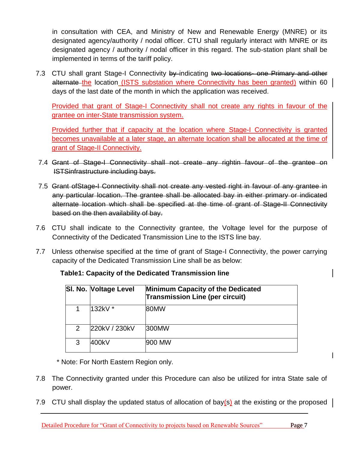in consultation with CEA, and Ministry of New and Renewable Energy (MNRE) or its designated agency/authority / nodal officer. CTU shall regularly interact with MNRE or its designated agency / authority / nodal officer in this regard. The sub-station plant shall be implemented in terms of the tariff policy.

7.3 CTU shall grant Stage-I Connectivity by indicating two locations- one Primary and other alternate the location (ISTS substation where Connectivity has been granted) within 60 days of the last date of the month in which the application was received.

Provided that grant of Stage-I Connectivity shall not create any rights in favour of the grantee on inter-State transmission system.

Provided further that if capacity at the location where Stage-I Connectivity is granted becomes unavailable at a later stage, an alternate location shall be allocated at the time of grant of Stage-II Connectivity.

- 7.4 Grant of Stage-I Connectivity shall not create any rightin favour of the grantee on ISTSinfrastructure including bays.
- 7.5 Grant ofStage-I Connectivity shall not create any vested right in favour of any grantee in any particular location. The grantee shall be allocated bay in either primary or indicated alternate location which shall be specified at the time of grant of Stage-II Connectivity based on the then availability of bay.
- 7.6 CTU shall indicate to the Connectivity grantee, the Voltage level for the purpose of Connectivity of the Dedicated Transmission Line to the ISTS line bay.
- 7.7 Unless otherwise specified at the time of grant of Stage-I Connectivity, the power carrying capacity of the Dedicated Transmission Line shall be as below:

|               | SI. No. Voltage Level | <b>Minimum Capacity of the Dedicated</b><br><b>Transmission Line (per circuit)</b> |
|---------------|-----------------------|------------------------------------------------------------------------------------|
|               | 132kV *               | 80MW                                                                               |
| $\mathcal{P}$ | 220kV / 230kV         | 300MW                                                                              |
| 3             | 400kV                 | 900 MW                                                                             |

## **Table1: Capacity of the Dedicated Transmission line**

\* Note: For North Eastern Region only.

- 7.8 The Connectivity granted under this Procedure can also be utilized for intra State sale of power.
- 7.9 CTU shall display the updated status of allocation of bay $(s)$  at the existing or the proposed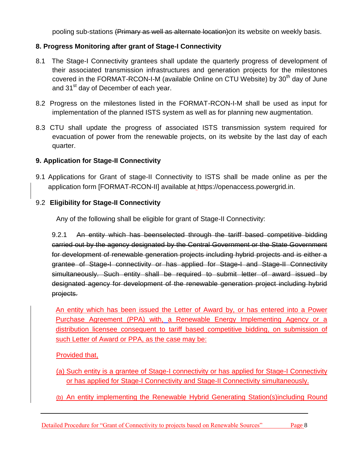pooling sub-stations (Primary as well as alternate location)on its website on weekly basis.

## **8. Progress Monitoring after grant of Stage-I Connectivity**

- 8.1 The Stage-I Connectivity grantees shall update the quarterly progress of development of their associated transmission infrastructures and generation projects for the milestones covered in the FORMAT-RCON-I-M (available Online on CTU Website) by  $30<sup>th</sup>$  day of June and 31<sup>st</sup> day of December of each year.
- 8.2 Progress on the milestones listed in the FORMAT-RCON-I-M shall be used as input for implementation of the planned ISTS system as well as for planning new augmentation.
- 8.3 CTU shall update the progress of associated ISTS transmission system required for evacuation of power from the renewable projects, on its website by the last day of each quarter.

## **9. Application for Stage-II Connectivity**

9.1 Applications for Grant of stage-II Connectivity to ISTS shall be made online as per the application form [FORMAT-RCON-II] available at [https://openaccess.powergrid.in.](https://openaccess.powergrid.in/)

## 9.2 **Eligibility for Stage-II Connectivity**

Any of the following shall be eligible for grant of Stage-II Connectivity:

9.2.1 An entity which has beenselected through the tariff based competitive bidding carried out by the agency designated by the Central Government or the State Government for development of renewable generation projects including hybrid projects and is either a grantee of Stage-I connectivity or has applied for Stage-I and Stage-II Connectivity simultaneously. Such entity shall be required to submit letter of award issued by designated agency for development of the renewable generation project including hybrid projects.

An entity which has been issued the Letter of Award by, or has entered into a Power Purchase Agreement (PPA) with, a Renewable Energy Implementing Agency or a distribution licensee consequent to tariff based competitive bidding, on submission of such Letter of Award or PPA, as the case may be:

## Provided that,

- (a) Such entity is a grantee of Stage-I connectivity or has applied for Stage-I Connectivity or has applied for Stage-I Connectivity and Stage-II Connectivity simultaneously.
- (b) An entity implementing the Renewable Hybrid Generating Station(s)including Round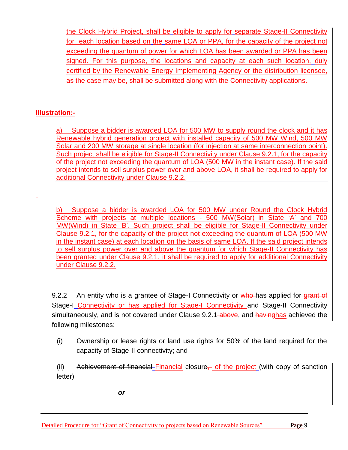the Clock Hybrid Project, shall be eligible to apply for separate Stage-II Connectivity for-each location based on the same LOA or PPA, for the capacity of the project not exceeding the quantum of power for which LOA has been awarded or PPA has been signed. For this purpose, the locations and capacity at each such location, duly certified by the Renewable Energy Implementing Agency or the distribution licensee, as the case may be, shall be submitted along with the Connectivity applications.

## **Illustration:-**

a) Suppose a bidder is awarded LOA for 500 MW to supply round the clock and it has Renewable hybrid generation project with installed capacity of 500 MW Wind, 500 MW Solar and 200 MW storage at single location (for injection at same interconnection point). Such project shall be eligible for Stage-II Connectivity under Clause 9.2.1, for the capacity of the project not exceeding the quantum of LOA (500 MW in the instant case). If the said project intends to sell surplus power over and above LOA, it shall be required to apply for additional Connectivity under Clause 9.2.2.

b) Suppose a bidder is awarded LOA for 500 MW under Round the Clock Hybrid Scheme with projects at multiple locations - 500 MW(Solar) in State "A" and 700 MW(Wind) in State "B". Such project shall be eligible for Stage-II Connectivity under Clause 9.2.1, for the capacity of the project not exceeding the quantum of LOA (500 MW in the instant case) at each location on the basis of same LOA. If the said project intends to sell surplus power over and above the quantum for which Stage-II Connectivity has been granted under Clause 9.2.1, it shall be required to apply for additional Connectivity under Clause 9.2.2.

9.2.2 An entity who is a grantee of Stage-I Connectivity or who has applied for grant of Stage-I Connectivity or has applied for Stage-I Connectivity and Stage-II Connectivity simultaneously, and is not covered under Clause 9.2.1 above, and havinghas achieved the following milestones:

(i) Ownership or lease rights or land use rights for 50% of the land required for the capacity of Stage-II connectivity; and

(ii) Achievement of financial Financial closure, of the project (with copy of sanction letter)

*or*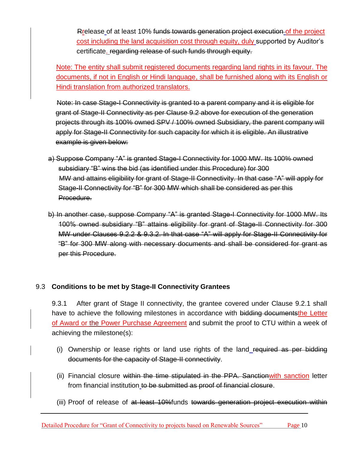Rrelease of at least 10% funds towards generation project execution of the project cost including the land acquisition cost through equity, duly supported by Auditor"s certificate. regarding release of such funds through equity.

Note: The entity shall submit registered documents regarding land rights in its favour. The documents, if not in English or Hindi language, shall be furnished along with its English or Hindi translation from authorized translators.

Note: In case Stage-I Connectivity is granted to a parent company and it is eligible for grant of Stage-II Connectivity as per Clause 9.2 above for execution of the generation projects through its 100% owned SPV / 100% owned Subsidiary, the parent company will apply for Stage-II Connectivity for such capacity for which it is eligible. An illustrative example is given below:

- a) Suppose Company "A" is granted Stage-I Connectivity for 1000 MW. Its 100% owned subsidiary "B" wins the bid (as identified under this Procedure) for 300 MW and attains eligibility for grant of Stage-II Connectivity. In that case "A" will apply for Stage-II Connectivity for "B" for 300 MW which shall be considered as per this Procedure.
- b) In another case, suppose Company "A" is granted Stage-I Connectivity for 1000 MW. Its 100% owned subsidiary "B" attains eligibility for grant of Stage-II Connectivity for 300 MW under Clauses 9.2.2 & 9.3.2. In that case "A" will apply for Stage-II Connectivity for "B" for 300 MW along with necessary documents and shall be considered for grant as per this Procedure.

## 9.3 **Conditions to be met by Stage-II Connectivity Grantees**

9.3.1 After grant of Stage II connectivity, the grantee covered under Clause 9.2.1 shall have to achieve the following milestones in accordance with bidding documents the Letter of Award or the Power Purchase Agreement and submit the proof to CTU within a week of achieving the milestone(s):

- (i) Ownership or lease rights or land use rights of the land required as per bidding documents for the capacity of Stage-II connectivity.
- (ii) Financial closure within the time stipulated in the PPA. Sanctionwith sanction letter from financial institution to be submitted as proof of financial closure.
- (iii) Proof of release of at least 10%funds towards generation project execution within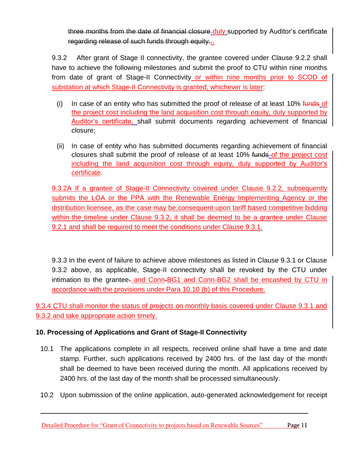three months from the date of financial closure duly supported by Auditor's certificate regarding release of such funds through equity...

9.3.2 After grant of Stage II connectivity, the grantee covered under Clause 9.2.2 shall have to achieve the following milestones and submit the proof to CTU within nine months from date of grant of Stage-II Connectivity or within nine months prior to SCOD of substation at which Stage-II Connectivity is granted, whichever is later:

- (i) In case of an entity who has submitted the proof of release of at least  $10\%$  funds of the project cost including the land acquisition cost through equity, duly supported by Auditor"s certificate, shall submit documents regarding achievement of financial closure;
- (ii) In case of entity who has submitted documents regarding achievement of financial closures shall submit the proof of release of at least 10% funds of the project cost including the land acquisition cost through equity, duly supported by Auditor"s certificate.

9.3.2A If a grantee of Stage-II Connectivity covered under Clause 9.2.2, subsequently submits the LOA or the PPA with the Renewable Energy Implementing Agency or the distribution licensee, as the case may be,consequent upon tariff based competitive bidding within the timeline under Clause 9.3.2, it shall be deemed to be a grantee under Clause 9.2.1 and shall be required to meet the conditions under Clause 9.3.1.

9.3.3 In the event of failure to achieve above milestones as listed in Clause 9.3.1 or Clause 9.3.2 above, as applicable, Stage-II connectivity shall be revoked by the CTU under intimation to the grantee- and Conn-BG1 and Conn-BG2 shall be encashed by CTU in accordance with the provisions under Para 10.10 (b) of this Procedure.

9.3.4 CTU shall monitor the status of projects on monthly basis covered under Clause 9.3.1 and 9.3.2 and take appropriate action timely.

## **10. Processing of Applications and Grant of Stage-II Connectivity**

- 10.1 The applications complete in all respects, received online shall have a time and date stamp. Further, such applications received by 2400 hrs. of the last day of the month shall be deemed to have been received during the month. All applications received by 2400 hrs. of the last day of the month shall be processed simultaneously.
- 10.2 Upon submission of the online application, auto-generated acknowledgement for receipt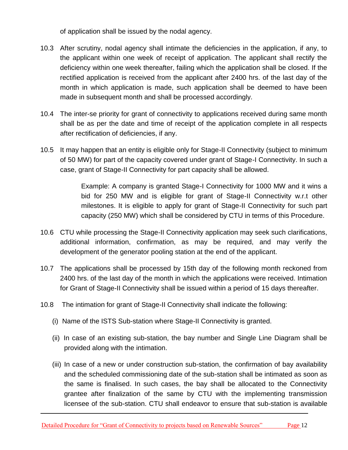of application shall be issued by the nodal agency.

- 10.3 After scrutiny, nodal agency shall intimate the deficiencies in the application, if any, to the applicant within one week of receipt of application. The applicant shall rectify the deficiency within one week thereafter, failing which the application shall be closed. If the rectified application is received from the applicant after 2400 hrs. of the last day of the month in which application is made, such application shall be deemed to have been made in subsequent month and shall be processed accordingly.
- 10.4 The inter-se priority for grant of connectivity to applications received during same month shall be as per the date and time of receipt of the application complete in all respects after rectification of deficiencies, if any.
- 10.5 It may happen that an entity is eligible only for Stage-II Connectivity (subject to minimum of 50 MW) for part of the capacity covered under grant of Stage-I Connectivity. In such a case, grant of Stage-II Connectivity for part capacity shall be allowed.

Example: A company is granted Stage-I Connectivity for 1000 MW and it wins a bid for 250 MW and is eligible for grant of Stage-II Connectivity w.r.t other milestones. It is eligible to apply for grant of Stage-II Connectivity for such part capacity (250 MW) which shall be considered by CTU in terms of this Procedure.

- 10.6 CTU while processing the Stage-II Connectivity application may seek such clarifications, additional information, confirmation, as may be required, and may verify the development of the generator pooling station at the end of the applicant.
- 10.7 The applications shall be processed by 15th day of the following month reckoned from 2400 hrs. of the last day of the month in which the applications were received. Intimation for Grant of Stage-II Connectivity shall be issued within a period of 15 days thereafter.
- 10.8 The intimation for grant of Stage-II Connectivity shall indicate the following:
	- (i) Name of the ISTS Sub-station where Stage-II Connectivity is granted.
	- (ii) In case of an existing sub-station, the bay number and Single Line Diagram shall be provided along with the intimation.
	- (iii) In case of a new or under construction sub-station, the confirmation of bay availability and the scheduled commissioning date of the sub-station shall be intimated as soon as the same is finalised. In such cases, the bay shall be allocated to the Connectivity grantee after finalization of the same by CTU with the implementing transmission licensee of the sub-station. CTU shall endeavor to ensure that sub-station is available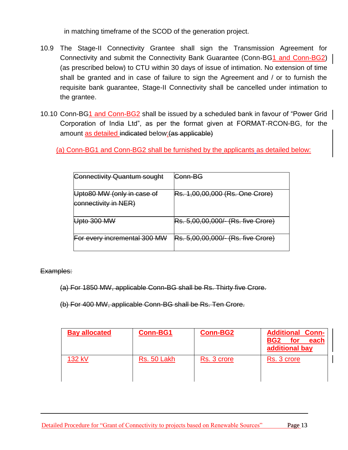in matching timeframe of the SCOD of the generation project.

- 10.9 The Stage-II Connectivity Grantee shall sign the Transmission Agreement for Connectivity and submit the Connectivity Bank Guarantee (Conn-BG1 and Conn-BG2) (as prescribed below) to CTU within 30 days of issue of intimation. No extension of time shall be granted and in case of failure to sign the Agreement and / or to furnish the requisite bank guarantee, Stage-II Connectivity shall be cancelled under intimation to the grantee.
- 10.10 Conn-BG1 and Conn-BG2 shall be issued by a scheduled bank in favour of "Power Grid Corporation of India Ltd", as per the format given at FORMAT-RCON-BG, for the amount as detailed indicated below: (as applicable)

(a) Conn-BG1 and Conn-BG2 shall be furnished by the applicants as detailed below:

| <b>Connectivity Quantum sought</b>                 | Conn-BG                                   |
|----------------------------------------------------|-------------------------------------------|
| Upto80 MW (only in case of<br>connectivity in NER) | Rs. 1,00,00,000 (Rs. One Crore)           |
| <del>Jpto 300 MW</del>                             | <b>Rs. 5,00,00,000/- (Rs. five Crore)</b> |
| For every incremental 300 MW                       | <b>Rs. 5,00,00,000/- (Rs. five Crore)</b> |

Examples:

(a) For 1850 MW, applicable Conn-BG shall be Rs. Thirty five Crore.

(b) For 400 MW, applicable Conn-BG shall be Rs. Ten Crore.

| <b>Bay allocated</b> | <b>Conn-BG1</b> | <b>Conn-BG2</b> | <b>Additional Conn-</b><br>BG <sub>2</sub><br>for<br>each<br>additional bay |
|----------------------|-----------------|-----------------|-----------------------------------------------------------------------------|
| 132 kV               | Rs. 50 Lakh     | Rs. 3 crore     | Rs. 3 crore                                                                 |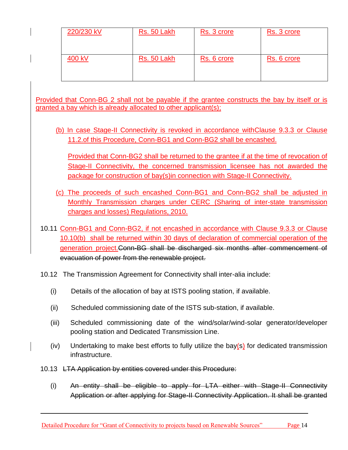| 220/230 kV | Rs. 50 Lakh | Rs. 3 crore | Rs. 3 crore |
|------------|-------------|-------------|-------------|
| 400 kV     | Rs. 50 Lakh | Rs. 6 crore | Rs. 6 crore |

Provided that Conn-BG 2 shall not be payable if the grantee constructs the bay by itself or is granted a bay which is already allocated to other applicant(s);

(b) In case Stage-II Connectivity is revoked in accordance withClause 9.3.3 or Clause 11.2.of this Procedure, Conn-BG1 and Conn-BG2 shall be encashed.

Provided that Conn-BG2 shall be returned to the grantee if at the time of revocation of Stage-II Connectivity, the concerned transmission licensee has not awarded the package for construction of bay(s)in connection with Stage-II Connectivity.

- (c) The proceeds of such encashed Conn-BG1 and Conn-BG2 shall be adjusted in Monthly Transmission charges under CERC (Sharing of inter-state transmission charges and losses) Regulations, 2010.
- 10.11 Conn-BG1 and Conn-BG2, if not encashed in accordance with Clause 9.3.3 or Clause 10.10(b) shall be returned within 30 days of declaration of commercial operation of the generation project.Conn-BG shall be discharged six months after commencement of evacuation of power from the renewable project.
- 10.12 The Transmission Agreement for Connectivity shall inter-alia include:
	- (i) Details of the allocation of bay at ISTS pooling station, if available.
	- (ii) Scheduled commissioning date of the ISTS sub-station, if available.
	- (iii) Scheduled commissioning date of the wind/solar/wind-solar generator/developer pooling station and Dedicated Transmission Line.
	- (iv) Undertaking to make best efforts to fully utilize the bay(s) for dedicated transmission infrastructure.
- 10.13 LTA Application by entities covered under this Procedure:
	- (i) An entity shall be eligible to apply for LTA either with Stage-II Connectivity Application or after applying for Stage-II Connectivity Application. It shall be granted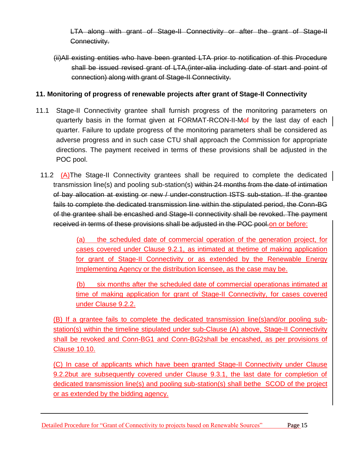LTA along with grant of Stage-II Connectivity or after the grant of Stage-II Connectivity.

(ii)All existing entities who have been granted LTA prior to notification of this Procedure shall be issued revised grant of LTA,(inter-alia including date of start and point of connection) along with grant of Stage-II Connectivity.

## **11. Monitoring of progress of renewable projects after grant of Stage-II Connectivity**

- 11.1 Stage-II Connectivity grantee shall furnish progress of the monitoring parameters on quarterly basis in the format given at FORMAT-RCON-II-Morf by the last day of each quarter. Failure to update progress of the monitoring parameters shall be considered as adverse progress and in such case CTU shall approach the Commission for appropriate directions. The payment received in terms of these provisions shall be adjusted in the POC pool.
	- 11.2 (A)The Stage-II Connectivity grantees shall be required to complete the dedicated transmission line(s) and pooling sub-station(s) within 24 months from the date of intimation of bay allocation at existing or new / under-construction ISTS sub-station. If the grantee fails to complete the dedicated transmission line within the stipulated period, the Conn-BG of the grantee shall be encashed and Stage-II connectivity shall be revoked. The payment received in terms of these provisions shall be adjusted in the POC pool.on or before:

(a) the scheduled date of commercial operation of the generation project, for cases covered under Clause 9.2.1, as intimated at thetime of making application for grant of Stage-II Connectivity or as extended by the Renewable Energy Implementing Agency or the distribution licensee, as the case may be.

(b) six months after the scheduled date of commercial operationas intimated at time of making application for grant of Stage-II Connectivity, for cases covered under Clause 9.2.2.

(B) If a grantee fails to complete the dedicated transmission line(s)and/or pooling substation(s) within the timeline stipulated under sub-Clause (A) above, Stage-II Connectivity shall be revoked and Conn-BG1 and Conn-BG2shall be encashed, as per provisions of Clause 10.10.

(C) In case of applicants which have been granted Stage-II Connectivity under Clause 9.2.2but are subsequently covered under Clause 9.3.1, the last date for completion of dedicated transmission line(s) and pooling sub-station(s) shall bethe SCOD of the project or as extended by the bidding agency.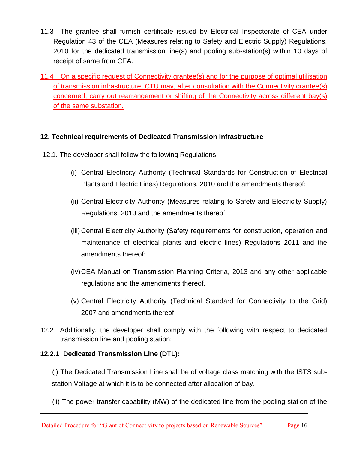- 11.3 The grantee shall furnish certificate issued by Electrical Inspectorate of CEA under Regulation 43 of the CEA (Measures relating to Safety and Electric Supply) Regulations, 2010 for the dedicated transmission line(s) and pooling sub-station(s) within 10 days of receipt of same from CEA.
- 11.4 On a specific request of Connectivity grantee(s) and for the purpose of optimal utilisation of transmission infrastructure, CTU may, after consultation with the Connectivity grantee(s) concerned, carry out rearrangement or shifting of the Connectivity across different bay(s) of the same substation.

## **12. Technical requirements of Dedicated Transmission Infrastructure**

- 12.1. The developer shall follow the following Regulations:
	- (i) Central Electricity Authority (Technical Standards for Construction of Electrical Plants and Electric Lines) Regulations, 2010 and the amendments thereof;
	- (ii) Central Electricity Authority (Measures relating to Safety and Electricity Supply) Regulations, 2010 and the amendments thereof;
	- (iii) Central Electricity Authority (Safety requirements for construction, operation and maintenance of electrical plants and electric lines) Regulations 2011 and the amendments thereof;
	- (iv)CEA Manual on Transmission Planning Criteria, 2013 and any other applicable regulations and the amendments thereof.
	- (v) Central Electricity Authority (Technical Standard for Connectivity to the Grid) 2007 and amendments thereof
- 12.2 Additionally, the developer shall comply with the following with respect to dedicated transmission line and pooling station:

#### **12.2.1 Dedicated Transmission Line (DTL):**

(i) The Dedicated Transmission Line shall be of voltage class matching with the ISTS substation Voltage at which it is to be connected after allocation of bay.

(ii) The power transfer capability (MW) of the dedicated line from the pooling station of the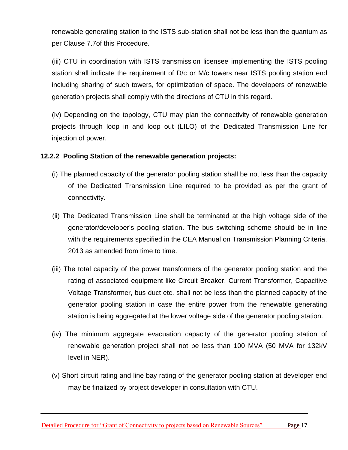renewable generating station to the ISTS sub-station shall not be less than the quantum as per Clause 7.7of this Procedure.

(iii) CTU in coordination with ISTS transmission licensee implementing the ISTS pooling station shall indicate the requirement of D/c or M/c towers near ISTS pooling station end including sharing of such towers, for optimization of space. The developers of renewable generation projects shall comply with the directions of CTU in this regard.

(iv) Depending on the topology, CTU may plan the connectivity of renewable generation projects through loop in and loop out (LILO) of the Dedicated Transmission Line for injection of power.

#### **12.2.2 Pooling Station of the renewable generation projects:**

- (i) The planned capacity of the generator pooling station shall be not less than the capacity of the Dedicated Transmission Line required to be provided as per the grant of connectivity.
- (ii) The Dedicated Transmission Line shall be terminated at the high voltage side of the generator/developer"s pooling station. The bus switching scheme should be in line with the requirements specified in the CEA Manual on Transmission Planning Criteria, 2013 as amended from time to time.
- (iii) The total capacity of the power transformers of the generator pooling station and the rating of associated equipment like Circuit Breaker, Current Transformer, Capacitive Voltage Transformer, bus duct etc. shall not be less than the planned capacity of the generator pooling station in case the entire power from the renewable generating station is being aggregated at the lower voltage side of the generator pooling station.
- (iv) The minimum aggregate evacuation capacity of the generator pooling station of renewable generation project shall not be less than 100 MVA (50 MVA for 132kV level in NER).
- (v) Short circuit rating and line bay rating of the generator pooling station at developer end may be finalized by project developer in consultation with CTU.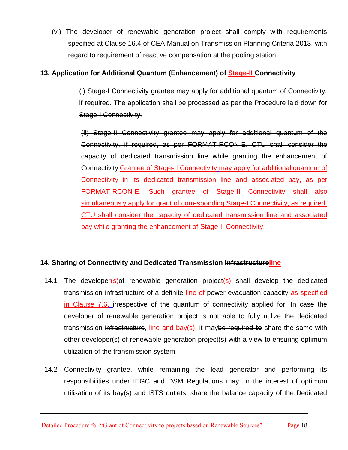(vi) The developer of renewable generation project shall comply with requirements specified at Clause 16.4 of CEA Manual on Transmission Planning Criteria 2013, with regard to requirement of reactive compensation at the pooling station.

## **13. Application for Additional Quantum (Enhancement) of Stage-II Connectivity**

(i) Stage-I Connectivity grantee may apply for additional quantum of Connectivity, if required. The application shall be processed as per the Procedure laid down for Stage-I Connectivity.

(ii) Stage-II Connectivity grantee may apply for additional quantum of the Connectivity, if required, as per FORMAT-RCON-E. CTU shall consider the capacity of dedicated transmission line while granting the enhancement of Connectivity.Grantee of Stage-II Connectivity may apply for additional quantum of Connectivity in its dedicated transmission line and associated bay, as per FORMAT-RCON-E. Such grantee of Stage-II Connectivity shall also simultaneously apply for grant of corresponding Stage-I Connectivity, as required. CTU shall consider the capacity of dedicated transmission line and associated bay while granting the enhancement of Stage-II Connectivity.

## **14. Sharing of Connectivity and Dedicated Transmission Infrastructureline**

- 14.1 The developer(s) of renewable generation project(s) shall develop the dedicated transmission infrastructure of a definite line of power evacuation capacity as specified in Clause 7.6, irrespective of the quantum of connectivity applied for. In case the developer of renewable generation project is not able to fully utilize the dedicated transmission infrastructure, line and bay(s), it maybe required **to** share the same with other developer(s) of renewable generation project(s) with a view to ensuring optimum utilization of the transmission system.
- 14.2 Connectivity grantee, while remaining the lead generator and performing its responsibilities under IEGC and DSM Regulations may, in the interest of optimum utilisation of its bay(s) and ISTS outlets, share the balance capacity of the Dedicated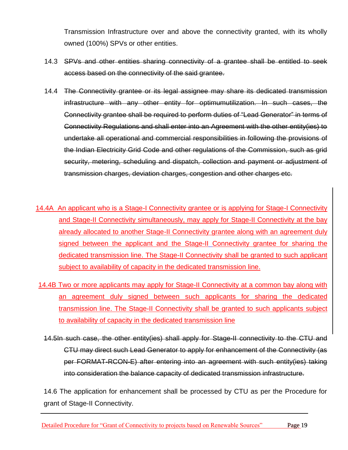Transmission Infrastructure over and above the connectivity granted, with its wholly owned (100%) SPVs or other entities.

- 14.3 SPVs and other entities sharing connectivity of a grantee shall be entitled to seek access based on the connectivity of the said grantee.
- 14.4 The Connectivity grantee or its legal assignee may share its dedicated transmission infrastructure with any other entity for optimumutilization. In such cases, the Connectivity grantee shall be required to perform duties of "Lead Generator" in terms of Connectivity Regulations and shall enter into an Agreement with the other entity(ies) to undertake all operational and commercial responsibilities in following the provisions of the Indian Electricity Grid Code and other regulations of the Commission, such as grid security, metering, scheduling and dispatch, collection and payment or adjustment of transmission charges, deviation charges, congestion and other charges etc.
- 14.4A An applicant who is a Stage-I Connectivity grantee or is applying for Stage-I Connectivity and Stage-II Connectivity simultaneously, may apply for Stage-II Connectivity at the bay already allocated to another Stage-II Connectivity grantee along with an agreement duly signed between the applicant and the Stage-II Connectivity grantee for sharing the dedicated transmission line. The Stage-II Connectivity shall be granted to such applicant subject to availability of capacity in the dedicated transmission line.
- 14.4B Two or more applicants may apply for Stage-II Connectivity at a common bay along with an agreement duly signed between such applicants for sharing the dedicated transmission line. The Stage-II Connectivity shall be granted to such applicants subject to availability of capacity in the dedicated transmission line
	- 14.5In such case, the other entity(ies) shall apply for Stage-II connectivity to the CTU and CTU may direct such Lead Generator to apply for enhancement of the Connectivity (as per FORMAT-RCON-E) after entering into an agreement with such entity(ies) taking into consideration the balance capacity of dedicated transmission infrastructure.

14.6 The application for enhancement shall be processed by CTU as per the Procedure for grant of Stage-II Connectivity.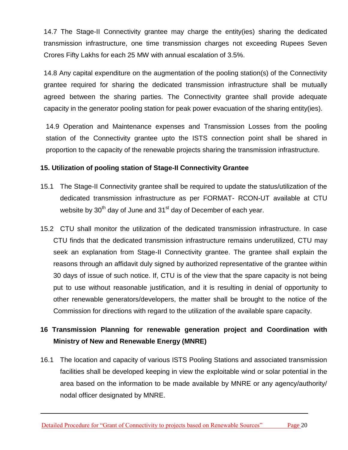14.7 The Stage-II Connectivity grantee may charge the entity(ies) sharing the dedicated transmission infrastructure, one time transmission charges not exceeding Rupees Seven Crores Fifty Lakhs for each 25 MW with annual escalation of 3.5%.

14.8 Any capital expenditure on the augmentation of the pooling station(s) of the Connectivity grantee required for sharing the dedicated transmission infrastructure shall be mutually agreed between the sharing parties. The Connectivity grantee shall provide adequate capacity in the generator pooling station for peak power evacuation of the sharing entity(ies).

14.9 Operation and Maintenance expenses and Transmission Losses from the pooling station of the Connectivity grantee upto the ISTS connection point shall be shared in proportion to the capacity of the renewable projects sharing the transmission infrastructure.

#### **15. Utilization of pooling station of Stage-II Connectivity Grantee**

- 15.1 The Stage-II Connectivity grantee shall be required to update the status/utilization of the dedicated transmission infrastructure as per FORMAT- RCON-UT available at CTU website by  $30<sup>th</sup>$  day of June and  $31<sup>st</sup>$  day of December of each year.
- 15.2 CTU shall monitor the utilization of the dedicated transmission infrastructure. In case CTU finds that the dedicated transmission infrastructure remains underutilized, CTU may seek an explanation from Stage-II Connectivity grantee. The grantee shall explain the reasons through an affidavit duly signed by authorized representative of the grantee within 30 days of issue of such notice. If, CTU is of the view that the spare capacity is not being put to use without reasonable justification, and it is resulting in denial of opportunity to other renewable generators/developers, the matter shall be brought to the notice of the Commission for directions with regard to the utilization of the available spare capacity.

## **16 Transmission Planning for renewable generation project and Coordination with Ministry of New and Renewable Energy (MNRE)**

16.1 The location and capacity of various ISTS Pooling Stations and associated transmission facilities shall be developed keeping in view the exploitable wind or solar potential in the area based on the information to be made available by MNRE or any agency/authority/ nodal officer designated by MNRE.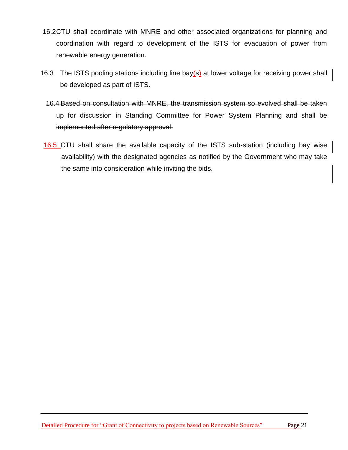- 16.2CTU shall coordinate with MNRE and other associated organizations for planning and coordination with regard to development of the ISTS for evacuation of power from renewable energy generation.
- 16.3 The ISTS pooling stations including line bay(s) at lower voltage for receiving power shall be developed as part of ISTS.
	- 16.4 Based on consultation with MNRE, the transmission system so evolved shall be taken up for discussion in Standing Committee for Power System Planning and shall be implemented after regulatory approval.
- 16.5 CTU shall share the available capacity of the ISTS sub-station (including bay wise availability) with the designated agencies as notified by the Government who may take the same into consideration while inviting the bids.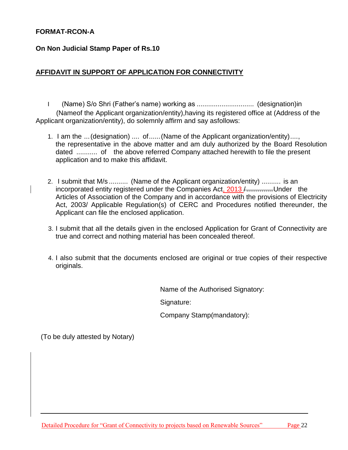#### **FORMAT-RCON-A**

**On Non Judicial Stamp Paper of Rs.10**

#### **AFFIDAVIT IN SUPPORT OF APPLICATION FOR CONNECTIVITY**

I (Name) S/o Shri (Father"s name) working as .............................. (designation)in (Nameof the Applicant organization/entity),having its registered office at (Address of the Applicant organization/entity), do solemnly affirm and say asfollows:

- 1. I am the ...(designation) .... of......(Name of the Applicant organization/entity)...., the representative in the above matter and am duly authorized by the Board Resolution dated ........... of the above referred Company attached herewith to file the present application and to make this affidavit.
- 2. I submit that M/s .......... (Name of the Applicant organization/entity) .......... is an incorporated entity registered under the Companies Act, 2013 /...............Under the Articles of Association of the Company and in accordance with the provisions of Electricity Act, 2003/ Applicable Regulation(s) of CERC and Procedures notified thereunder, the Applicant can file the enclosed application.
- 3. I submit that all the details given in the enclosed Application for Grant of Connectivity are true and correct and nothing material has been concealed thereof.
- 4. I also submit that the documents enclosed are original or true copies of their respective originals.

Name of the Authorised Signatory:

Signature:

Company Stamp(mandatory):

(To be duly attested by Notary)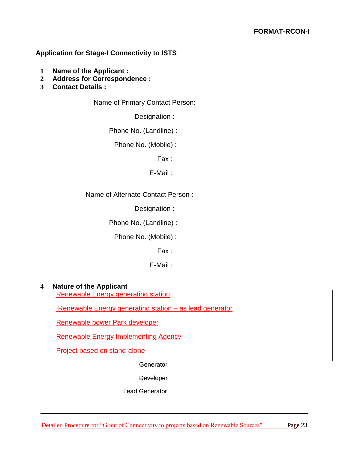#### **Application for Stage-I Connectivity to ISTS**

- **1 Name of the Applicant :**
- **2 Address for Correspondence :**
- **3 Contact Details :**

Name of Primary Contact Person:

Designation :

Phone No. (Landline) :

Phone No. (Mobile) :

Fax :

E-Mail :

Name of Alternate Contact Person :

Designation :

Phone No. (Landline) :

Phone No. (Mobile) :

Fax :

E-Mail :

#### **4 Nature of the Applicant**

Renewable Energy generating station

Renewable Energy generating station - as lead generator

Renewable power Park developer

Renewable Energy Implementing Agency

Project based on stand-alone

**Generator** 

**Developer** 

Lead Generator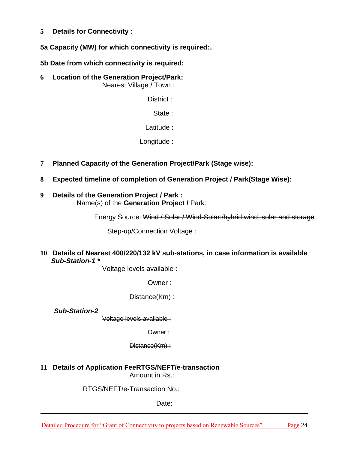**5 Details for Connectivity :**

**5a Capacity (MW) for which connectivity is required:.**

**5b Date from which connectivity is required:**

**6 Location of the Generation Project/Park:** Nearest Village / Town :

District :

State :

Latitude :

Longitude :

- **7 Planned Capacity of the Generation Project/Park (Stage wise):**
- **8 Expected timeline of completion of Generation Project / Park(Stage Wise):**
- **9 Details of the Generation Project / Park :** Name(s) of the **Generation Project /** Park:

Energy Source: Wind / Solar / Wind-Solar:/hybrid wind, solar and storage

Step-up/Connection Voltage :

**10 Details of Nearest 400/220/132 kV sub-stations, in case information is available** *Sub-Station-1 \**

Voltage levels available :

Owner :

Distance(Km) :

*Sub-Station-2*

Voltage levels available :

Owner :

Distance(Km) :

**11 Details of Application FeeRTGS/NEFT/e-transaction** Amount in Rs.:

RTGS/NEFT/e-Transaction No.:

Date: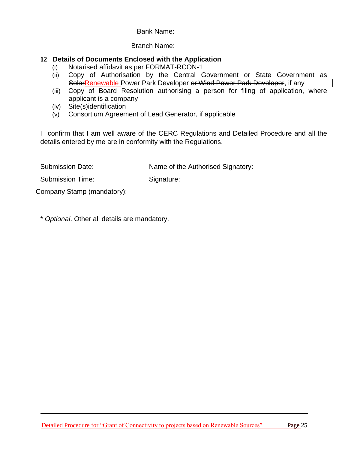#### Bank Name:

#### Branch Name:

#### **12 Details of Documents Enclosed with the Application**

- (i) Notarised affidavit as per FORMAT-RCON-1
- (ii) Copy of Authorisation by the Central Government or State Government as SolarRenewable Power Park Developer or Wind Power Park Developer, if any
- (iii) Copy of Board Resolution authorising a person for filing of application, where applicant is a company
- (iv) Site(s)identification
- (v) Consortium Agreement of Lead Generator, if applicable

I confirm that I am well aware of the CERC Regulations and Detailed Procedure and all the details entered by me are in conformity with the Regulations.

Submission Date: Name of the Authorised Signatory:

Submission Time: Signature:

Company Stamp (mandatory):

\* *Optional*. Other all details are mandatory.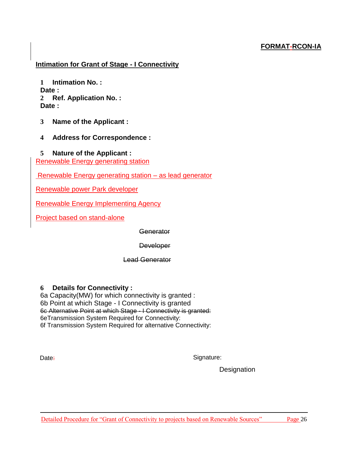## **FORMAT-RCON-IA**

#### **Intimation for Grant of Stage - I Connectivity**

**1 Intimation No. : Date : 2 Ref. Application No. : Date :**

- **3 Name of the Applicant :**
- **4 Address for Correspondence :**

#### **5 Nature of the Applicant :**

Renewable Energy generating station

Renewable Energy generating station – as lead generator

Renewable power Park developer

Renewable Energy Implementing Agency

Project based on stand-alone

**Generator** 

**Developer** 

Lead Generator

#### **6 Details for Connectivity :**

6a Capacity(MW) for which connectivity is granted : 6b Point at which Stage - I Connectivity is granted 6c Alternative Point at which Stage - I Connectivity is granted: 6eTransmission System Required for Connectivity: 6f Transmission System Required for alternative Connectivity:

Date:

Signature:

**Designation**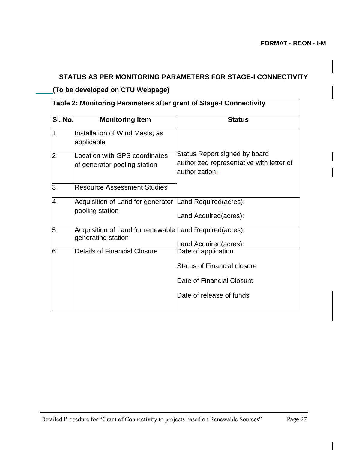# **STATUS AS PER MONITORING PARAMETERS FOR STAGE-I CONNECTIVITY**

#### **(To be developed on CTU Webpage)**

# **Table 2: Monitoring Parameters after grant of Stage-I Connectivity Sl. No. Monitoring Item Status** 1 **Installation of Wind Masts, as** applicable Status Report signed by board authorized representative with letter of authorization. 2 Location with GPS coordinates of generator pooling station 3 Resource Assessment Studies 4 Acquisition of Land for generator Land Required(acres): pooling station Land Acquired(acres): 5 Acquisition of Land for renewable Land Required(acres): generating station Land Acquired(acres):<br>Date of application 6 Details of Financial Closure Status of Financial closure Date of Financial Closure Date of release of funds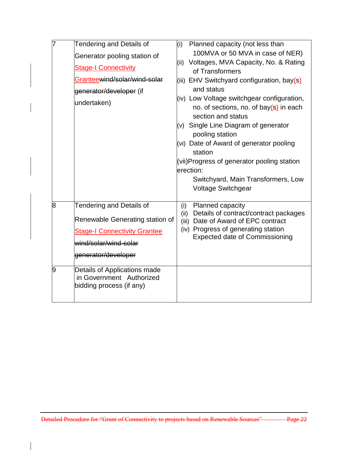|   | Tendering and Details of<br>Generator pooling station of<br><b>Stage-I Connectivity</b><br>Granteewind/solar/wind-solar<br>generator/developer (if<br>undertaken) | Planned capacity (not less than<br>(i)<br>100MVA or 50 MVA in case of NER)<br>(ii) Voltages, MVA Capacity, No. & Rating<br>of Transformers<br>(iii) EHV Switchyard configuration, bay(s)<br>and status<br>(iv) Low Voltage switchgear configuration,<br>no. of sections, no. of bay $(s)$ in each<br>section and status<br>(v) Single Line Diagram of generator<br>pooling station<br>(vi) Date of Award of generator pooling<br>station<br>(vii)Progress of generator pooling station<br>erection:<br>Switchyard, Main Transformers, Low<br>Voltage Switchgear |
|---|-------------------------------------------------------------------------------------------------------------------------------------------------------------------|-----------------------------------------------------------------------------------------------------------------------------------------------------------------------------------------------------------------------------------------------------------------------------------------------------------------------------------------------------------------------------------------------------------------------------------------------------------------------------------------------------------------------------------------------------------------|
| 8 | <b>Tendering and Details of</b><br>Renewable Generating station of<br><b>Stage-I Connectivity Grantee</b><br>wind/solar/wind-solar<br>generator/developer         | Planned capacity<br>(i)<br>(ii) Details of contract/contract packages<br>(iii) Date of Award of EPC contract<br>(iv) Progress of generating station<br><b>Expected date of Commissioning</b>                                                                                                                                                                                                                                                                                                                                                                    |
| 9 | Details of Applications made<br>in Government Authorized<br>bidding process (if any)                                                                              |                                                                                                                                                                                                                                                                                                                                                                                                                                                                                                                                                                 |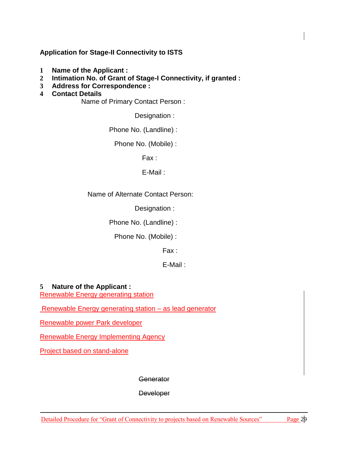#### **Application for Stage-II Connectivity to ISTS**

- **1 Name of the Applicant :**
- **2 Intimation No. of Grant of Stage-I Connectivity, if granted :**
- **3 Address for Correspondence :**
- **4 Contact Details**

Name of Primary Contact Person :

Designation :

Phone No. (Landline) :

Phone No. (Mobile) :

Fax :

E-Mail :

Name of Alternate Contact Person:

Designation :

Phone No. (Landline) :

Phone No. (Mobile) :

Fax :

E-Mail :

#### **5 Nature of the Applicant :**

Renewable Energy generating station

Renewable Energy generating station – as lead generator

Renewable power Park developer

Renewable Energy Implementing Agency

Project based on stand-alone

**Generator** 

**Developer**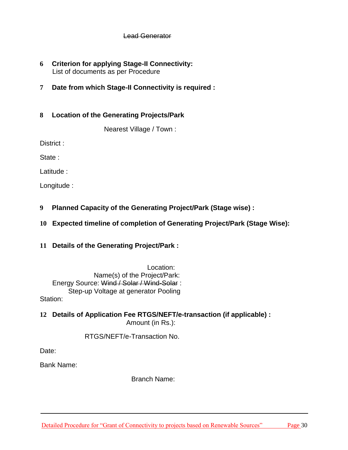#### Lead Generator

- **6 Criterion for applying Stage-II Connectivity:** List of documents as per Procedure
- **7 Date from which Stage-II Connectivity is required :**

#### **8 Location of the Generating Projects/Park**

Nearest Village / Town :

District :

State :

Latitude :

Longitude :

- **9 Planned Capacity of the Generating Project/Park (Stage wise) :**
- **10 Expected timeline of completion of Generating Project/Park (Stage Wise):**
- **11 Details of the Generating Project/Park :**

Location: Name(s) of the Project/Park: Energy Source: Wind / Solar / Wind-Solar : Step-up Voltage at generator Pooling Station:

**12 Details of Application Fee RTGS/NEFT/e-transaction (if applicable) :** Amount (in Rs.):

RTGS/NEFT/e-Transaction No.

Date:

Bank Name:

Branch Name: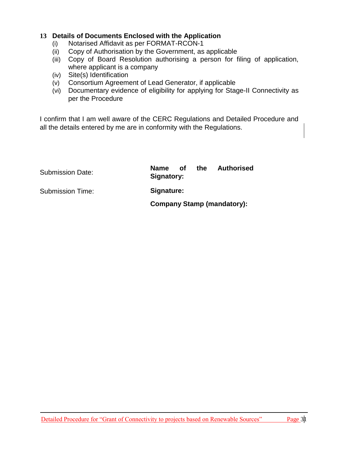#### **13 Details of Documents Enclosed with the Application**

- (i) Notarised Affidavit as per FORMAT-RCON-1
- (ii) Copy of Authorisation by the Government, as applicable
- (iii) Copy of Board Resolution authorising a person for filing of application, where applicant is a company
- (iv) Site(s) Identification
- (v) Consortium Agreement of Lead Generator, if applicable
- (vi) Documentary evidence of eligibility for applying for Stage-II Connectivity as per the Procedure

I confirm that I am well aware of the CERC Regulations and Detailed Procedure and all the details entered by me are in conformity with the Regulations.

| <b>Submission Date:</b> | the<br><b>Authorised</b><br>Name of<br>Signatory: |
|-------------------------|---------------------------------------------------|
| <b>Submission Time:</b> | Signature:                                        |
|                         | <b>Company Stamp (mandatory):</b>                 |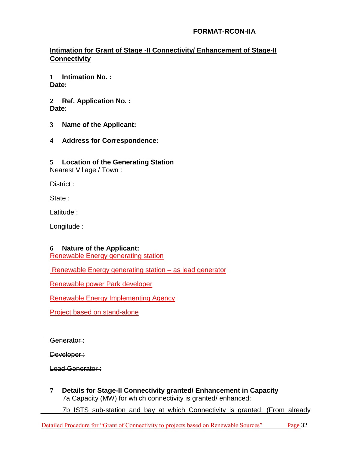#### **FORMAT-RCON-IIA**

## **Intimation for Grant of Stage -II Connectivity/ Enhancement of Stage-II Connectivity**

**1 Intimation No. : Date:**

**2 Ref. Application No. : Date:**

- **3 Name of the Applicant:**
- **4 Address for Correspondence:**

#### **5 Location of the Generating Station**

Nearest Village / Town :

District :

State:

Latitude :

Longitude :

#### **6 Nature of the Applicant:**

Renewable Energy generating station

Renewable Energy generating station – as lead generator

Renewable power Park developer

Renewable Energy Implementing Agency

Project based on stand-alone

Generator:

Developer:

Lead Generator:

**7 Details for Stage-II Connectivity granted/ Enhancement in Capacity** 7a Capacity (MW) for which connectivity is granted/ enhanced:

7b ISTS sub-station and bay at which Connectivity is granted: (From already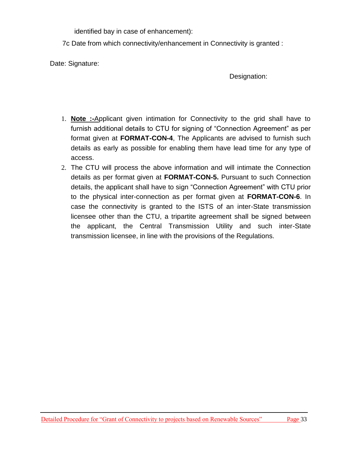identified bay in case of enhancement):

7c Date from which connectivity/enhancement in Connectivity is granted :

Date: Signature:

Designation:

- 1. **Note :-**Applicant given intimation for Connectivity to the grid shall have to furnish additional details to CTU for signing of "Connection Agreement" as per format given at **FORMAT-CON-4**, The Applicants are advised to furnish such details as early as possible for enabling them have lead time for any type of access.
- 2. The CTU will process the above information and will intimate the Connection details as per format given at **FORMAT-CON-5.** Pursuant to such Connection details, the applicant shall have to sign "Connection Agreement" with CTU prior to the physical inter-connection as per format given at **FORMAT-CON-6**. In case the connectivity is granted to the ISTS of an inter-State transmission licensee other than the CTU, a tripartite agreement shall be signed between the applicant, the Central Transmission Utility and such inter-State transmission licensee, in line with the provisions of the Regulations.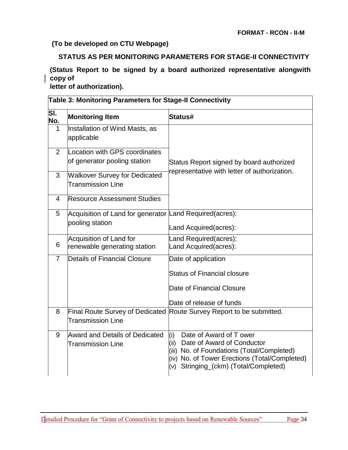#### **(To be developed on CTU Webpage)**

#### **STATUS AS PER MONITORING PARAMETERS FOR STAGE-II CONNECTIVITY**

**(Status Report to be signed by a board authorized representative alongwith copy of**

**letter of authorization).**

|                | Table 3: Monitoring Parameters for Stage-II Connectivity                   |                                                                                                                                                                                                              |  |
|----------------|----------------------------------------------------------------------------|--------------------------------------------------------------------------------------------------------------------------------------------------------------------------------------------------------------|--|
| SI.<br>No.     | <b>Monitoring Item</b>                                                     | Status#                                                                                                                                                                                                      |  |
| 1              | Installation of Wind Masts, as<br>applicable                               |                                                                                                                                                                                                              |  |
| $\overline{2}$ | Location with GPS coordinates<br>of generator pooling station              | Status Report signed by board authorized                                                                                                                                                                     |  |
| 3              | <b>Walkover Survey for Dedicated</b><br><b>Transmission Line</b>           | representative with letter of authorization.                                                                                                                                                                 |  |
| 4              | <b>Resource Assessment Studies</b>                                         |                                                                                                                                                                                                              |  |
| 5              | Acquisition of Land for generator Land Required(acres):<br>pooling station | Land Acquired(acres):                                                                                                                                                                                        |  |
| 6              | Acquisition of Land for<br>renewable generating station                    | Land Required(acres):<br>Land Acquired(acres):                                                                                                                                                               |  |
| $\overline{7}$ | <b>Details of Financial Closure</b>                                        | Date of application<br><b>Status of Financial closure</b><br>Date of Financial Closure<br>Date of release of funds                                                                                           |  |
| 8              | <b>Transmission Line</b>                                                   | Final Route Survey of Dedicated Route Survey Report to be submitted.                                                                                                                                         |  |
| 9              | <b>Award and Details of Dedicated</b><br><b>Transmission Line</b>          | Date of Award of T ower<br>(i)<br>Date of Award of Conductor<br>(ii)<br>(iii) No. of Foundations (Total/Completed)<br>(iv) No. of Tower Erections (Total/Completed)<br>(v) Stringing_(ckm) (Total/Completed) |  |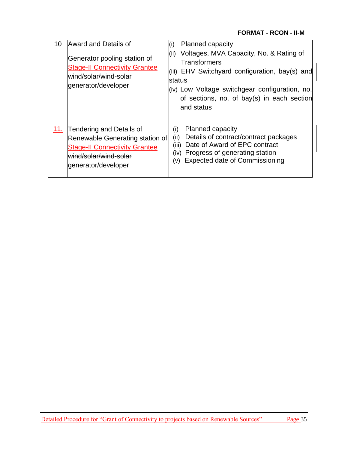| 10  | Award and Details of<br>Generator pooling station of<br><b>Stage-II Connectivity Grantee</b><br>wind/solar/wind-solar<br>eenerator/developer                | <b>Planned capacity</b><br>(i)<br>Voltages, MVA Capacity, No. & Rating of<br>(ii)<br><b>Transformers</b><br>(iii) EHV Switchyard configuration, bay(s) and<br>lstatus<br>(iv) Low Voltage switchgear configuration, no.<br>of sections, no. of bay(s) in each section<br>and status |
|-----|-------------------------------------------------------------------------------------------------------------------------------------------------------------|-------------------------------------------------------------------------------------------------------------------------------------------------------------------------------------------------------------------------------------------------------------------------------------|
| 11. | <b>Tendering and Details of</b><br>Renewable Generating station of<br><b>Stage-II Connectivity Grantee</b><br>wind/solar/wind-solar<br>lgenerator/developer | <b>Planned capacity</b><br>(i)<br>Details of contract/contract packages<br>(ii)<br>Date of Award of EPC contract<br>(iii)<br>Progress of generating station<br>(iv)<br><b>Expected date of Commissioning</b><br>(v)                                                                 |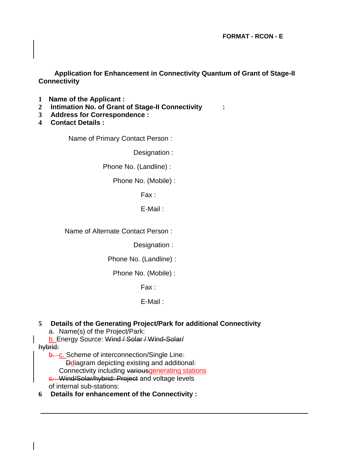**FORMAT - RCON - E**

**Application for Enhancement in Connectivity Quantum of Grant of Stage-II Connectivity**

- **1 Name of the Applicant :**
- **2 Intimation No. of Grant of Stage-II Connectivity :**
- **3 Address for Correspondence :**
- **4 Contact Details :**

Name of Primary Contact Person :

Designation :

Phone No. (Landline) :

Phone No. (Mobile) :

Fax :

E-Mail :

Name of Alternate Contact Person :

Designation :

Phone No. (Landline) :

Phone No. (Mobile) :

Fax :

#### E-Mail :

#### **5 Details of the Generating Project/Park for additional Connectivity**

- a. Name(s) of the Project/Park:
- b. Energy Source: Wind / Solar / Wind-Solar/

hybrid:

b. c. Scheme of interconnection/Single Line: **D**diagram depicting existing and additional:

Connectivity including variousgenerating stations

c. Wind/Solar/hybrid: Project and voltage levels of internal sub-stations:

**6 Details for enhancement of the Connectivity :**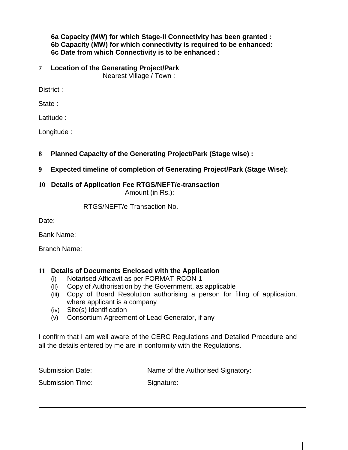#### **6a Capacity (MW) for which Stage-II Connectivity has been granted : 6b Capacity (MW) for which connectivity is required to be enhanced: 6c Date from which Connectivity is to be enhanced :**

## **7 Location of the Generating Project/Park**

Nearest Village / Town :

District :

State :

Latitude :

Longitude :

- **8 Planned Capacity of the Generating Project/Park (Stage wise) :**
- **9 Expected timeline of completion of Generating Project/Park (Stage Wise):**

## **10 Details of Application Fee RTGS/NEFT/e-transaction**

Amount (in Rs.):

RTGS/NEFT/e-Transaction No.

Date:

Bank Name:

Branch Name:

## **11 Details of Documents Enclosed with the Application**

- (i) Notarised Affidavit as per FORMAT-RCON-1
- (ii) Copy of Authorisation by the Government, as applicable
- (iii) Copy of Board Resolution authorising a person for filing of application, where applicant is a company
- (iv) Site(s) Identification
- (v) Consortium Agreement of Lead Generator, if any

I confirm that I am well aware of the CERC Regulations and Detailed Procedure and all the details entered by me are in conformity with the Regulations.

Submission Date: Name of the Authorised Signatory:

Submission Time: Signature: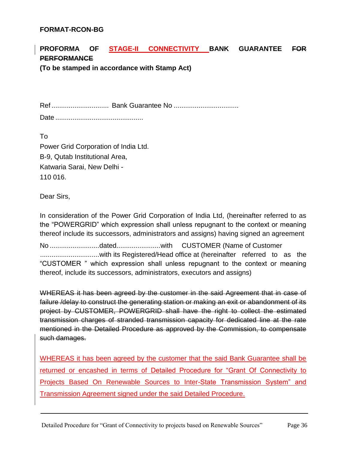#### **FORMAT-RCON-BG**

# **PROFORMA OF STAGE-II CONNECTIVITY BANK GUARANTEE FOR PERFORMANCE**

**(To be stamped in accordance with Stamp Act)**

Ref .............................. Bank Guarantee No ..................................

Date ..............................................

To Power Grid Corporation of India Ltd. B-9, Qutab Institutional Area, Katwaria Sarai, New Delhi - 110 016.

Dear Sirs,

In consideration of the Power Grid Corporation of India Ltd, (hereinafter referred to as the "POWERGRID" which expression shall unless repugnant to the context or meaning thereof include its successors, administrators and assigns) having signed an agreement

No ..........................dated.......................with CUSTOMER (Name of Customer ...............................with its Registered/Head office at (hereinafter referred to as the "CUSTOMER " which expression shall unless repugnant to the context or meaning thereof, include its successors, administrators, executors and assigns)

WHEREAS it has been agreed by the customer in the said Agreement that in case of failure /delay to construct the generating station or making an exit or abandonment of its project by CUSTOMER, POWERGRID shall have the right to collect the estimated transmission charges of stranded transmission capacity for dedicated line at the rate mentioned in the Detailed Procedure as approved by the Commission, to compensate such damages.

WHEREAS it has been agreed by the customer that the said Bank Guarantee shall be returned or encashed in terms of Detailed Procedure for "Grant Of Connectivity to Projects Based On Renewable Sources to Inter-State Transmission System" and Transmission Agreement signed under the said Detailed Procedure.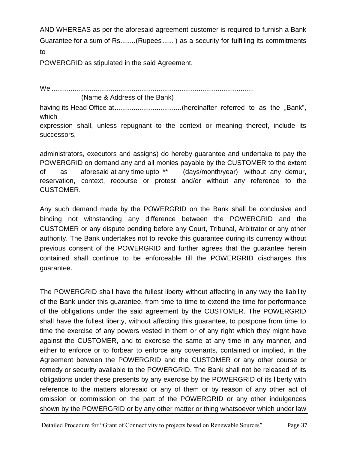AND WHEREAS as per the aforesaid agreement customer is required to furnish a Bank Guarantee for a sum of Rs........(Rupees...... ) as a security for fulfilling its commitments to

POWERGRID as stipulated in the said Agreement.

We ..........................................................................................................

(Name & Address of the Bank)

having its Head Office at...................................(hereinafter referred to as the "Bank", which

expression shall, unless repugnant to the context or meaning thereof, include its successors,

administrators, executors and assigns) do hereby guarantee and undertake to pay the POWERGRID on demand any and all monies payable by the CUSTOMER to the extent of as aforesaid at any time upto \*\* (days/month/year) without any demur, reservation, context, recourse or protest and/or without any reference to the CUSTOMER.

Any such demand made by the POWERGRID on the Bank shall be conclusive and binding not withstanding any difference between the POWERGRID and the CUSTOMER or any dispute pending before any Court, Tribunal, Arbitrator or any other authority. The Bank undertakes not to revoke this guarantee during its currency without previous consent of the POWERGRID and further agrees that the guarantee herein contained shall continue to be enforceable till the POWERGRID discharges this guarantee.

The POWERGRID shall have the fullest liberty without affecting in any way the liability of the Bank under this guarantee, from time to time to extend the time for performance of the obligations under the said agreement by the CUSTOMER. The POWERGRID shall have the fullest liberty, without affecting this guarantee, to postpone from time to time the exercise of any powers vested in them or of any right which they might have against the CUSTOMER, and to exercise the same at any time in any manner, and either to enforce or to forbear to enforce any covenants, contained or implied, in the Agreement between the POWERGRID and the CUSTOMER or any other course or remedy or security available to the POWERGRID. The Bank shall not be released of its obligations under these presents by any exercise by the POWERGRID of its liberty with reference to the matters aforesaid or any of them or by reason of any other act of omission or commission on the part of the POWERGRID or any other indulgences shown by the POWERGRID or by any other matter or thing whatsoever which under law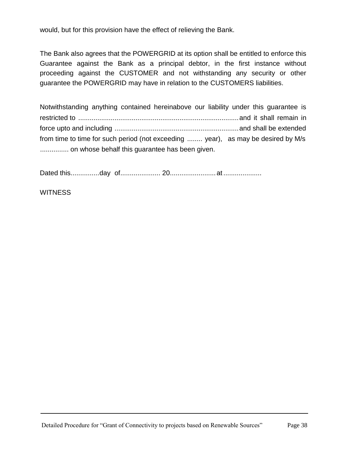would, but for this provision have the effect of relieving the Bank.

The Bank also agrees that the POWERGRID at its option shall be entitled to enforce this Guarantee against the Bank as a principal debtor, in the first instance without proceeding against the CUSTOMER and not withstanding any security or other guarantee the POWERGRID may have in relation to the CUSTOMERS liabilities.

Notwithstanding anything contained hereinabove our liability under this guarantee is restricted to ....................................................................................and it shall remain in force upto and including .................................................................and shall be extended from time to time for such period (not exceeding ........ year), as may be desired by M/s ................ on whose behalf this guarantee has been given.

Dated this...............day of..................... 20........................at ....................

**WITNESS**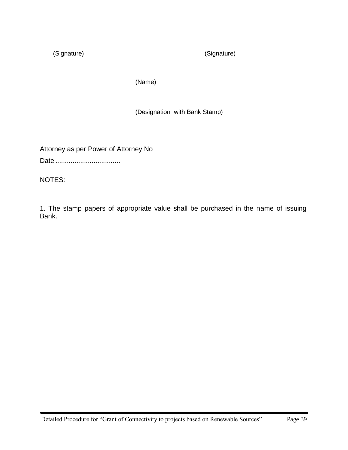(Signature) (Signature)

(Name)

(Designation with Bank Stamp)

Attorney as per Power of Attorney No

Date ..................................

NOTES:

1. The stamp papers of appropriate value shall be purchased in the name of issuing Bank.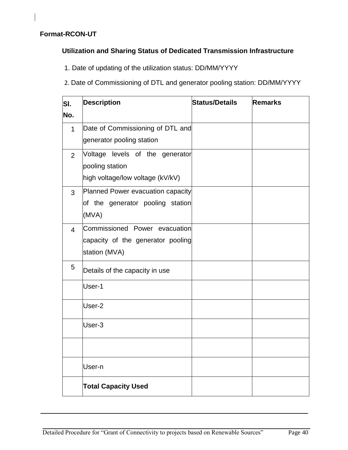#### **Format-RCON-UT**

#### **Utilization and Sharing Status of Dedicated Transmission Infrastructure**

1. Date of updating of the utilization status: DD/MM/YYYY

2. Date of Commissioning of DTL and generator pooling station: DD/MM/YYYY

| SI.<br>No.     | <b>Description</b>                                                                     | <b>Status/Details</b> | Remarks |
|----------------|----------------------------------------------------------------------------------------|-----------------------|---------|
| $\mathbf{1}$   | Date of Commissioning of DTL and<br>generator pooling station                          |                       |         |
| 2              | Voltage levels of the generator<br>pooling station<br>high voltage/low voltage (kV/kV) |                       |         |
| 3              | Planned Power evacuation capacity<br>of the generator pooling station<br>(MVA)         |                       |         |
| $\overline{4}$ | Commissioned Power evacuation<br>capacity of the generator pooling<br>station (MVA)    |                       |         |
| 5              | Details of the capacity in use                                                         |                       |         |
|                | User-1                                                                                 |                       |         |
|                | User-2                                                                                 |                       |         |
|                | User-3                                                                                 |                       |         |
|                |                                                                                        |                       |         |
|                | User-n                                                                                 |                       |         |
|                | <b>Total Capacity Used</b>                                                             |                       |         |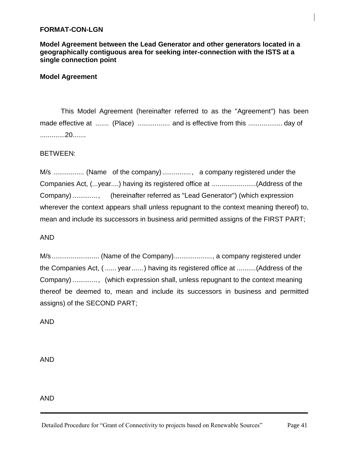#### **FORMAT-CON-LGN**

**Model Agreement between the Lead Generator and other generators located in a geographically contiguous area for seeking inter-connection with the ISTS at a single connection point**

#### **Model Agreement**

This Model Agreement (hereinafter referred to as the "Agreement") has been made effective at ....... (Place) ................. and is effective from this .................. day of .............20.......

#### BETWEEN:

M/s ................ (Name of the company)..............., a company registered under the Companies Act, (...year....) having its registered office at .......................(Address of the Company) ............., (hereinafter referred as "Lead Generator") (which expression wherever the context appears shall unless repugnant to the context meaning thereof) to, mean and include its successors in business arid permitted assigns of the FIRST PART;

#### AND

M/s......................... (Name of the Company)...................., a company registered under the Companies Act, ( ...... year......) having its registered office at ..........(Address of the Company) ............., (which expression shall, unless repugnant to the context meaning thereof be deemed to, mean and include its successors in business and permitted assigns) of the SECOND PART;

AND

AND

AND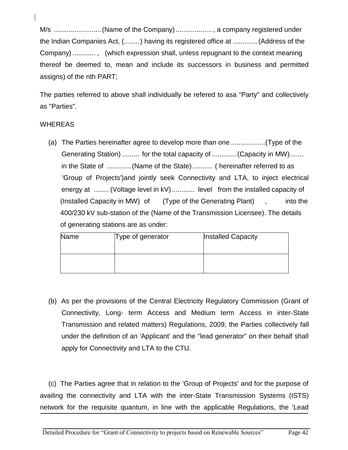M/s .........................(Name of the Company)................... , a company registered under the Indian Companies Act, (........) having its registered office at .............(Address of the Company) ............ , (which expression shall, unless repugnant to the context meaning thereof be deemed to, mean and include its successors in business and permitted assigns) of the nth PART;

The parties referred to above shall individually be refered to asa "Party" and collectively as "Parties".

#### WHEREAS

(a) The Parties hereinafter agree to develop more than one ..................(Type of the Generating Station) ......... for the total capacity of ...............(Capacity in MW)....... in the State of .............(Name of the State) .......... ( hereinafter referred to as 'Group of Projects')and jointly seek Connectivity and LTA, to inject electrical energy at ........ (Voltage level in kV)............ level from the installed capacity of (Installed Capacity in MW) of (Type of the Generating Plant) , into the 400/230 kV sub-station of the (Name of the Transmission Licensee). The details of generating stations are as under:

| Name | Type of generator | Installed Capacity |
|------|-------------------|--------------------|
|      |                   |                    |

(b) As per the provisions of the Central Electricity Regulatory Commission (Grant of Connectivity, Long- term Access and Medium term Access in inter-State Transmission and related matters) Regulations, 2009, the Parties collectively fall under the definition of an 'Applicant' and the "lead generator" on their behalf shall apply for Connectivity and LTA to the CTU.

(c) The Parties agree that in relation to the 'Group of Projects' and for the purpose of availing the connectivity and LTA with the inter-State Transmission Systems (ISTS) network for the requisite quantum, in line with the applicable Regulations, the 'Lead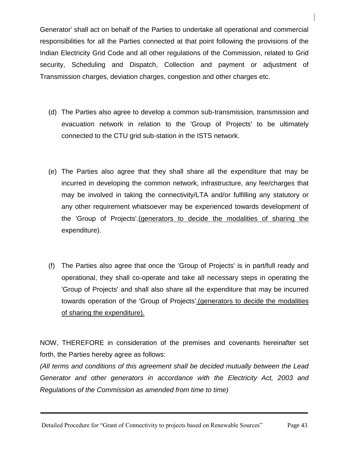Generator' shall act on behalf of the Parties to undertake all operational and commercial responsibilities for all the Parties connected at that point following the provisions of the Indian Electricity Grid Code and all other regulations of the Commission, related to Grid security, Scheduling and Dispatch, Collection and payment or adjustment of Transmission charges, deviation charges, congestion and other charges etc.

- (d) The Parties also agree to develop a common sub-transmission, transmission and evacuation network in relation to the 'Group of Projects' to be ultimately connected to the CTU grid sub-station in the ISTS network.
- (e) The Parties also agree that they shall share all the expenditure that may be incurred in developing the common network, infrastructure, any fee/charges that may be involved in taking the connectivity/LTA and/or fulfilling any statutory or any other requirement whatsoever may be experienced towards development of the 'Group of Projects'.(generators to decide the modalities of sharing the expenditure).
- (f) The Parties also agree that once the 'Group of Projects' is in part/full ready and operational, they shall co-operate and take all necessary steps in operating the 'Group of Projects' and shall also share all the expenditure that may be incurred towards operation of the 'Group of Projects'.(generators to decide the modalities of sharing the expenditure).

NOW, THEREFORE in consideration of the premises and covenants hereinafter set forth, the Parties hereby agree as follows:

*(All terms and conditions of this agreement shall be decided mutually between the Lead Generator and other generators in accordance with the Electricity Act, 2003 and Regulations of the Commission as amended from time to time)*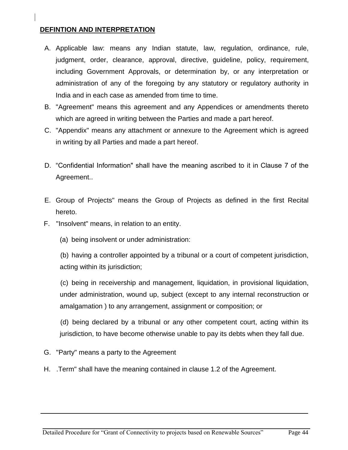## **DEFINTION AND INTERPRETATION**

- A. Applicable law: means any Indian statute, law, regulation, ordinance, rule, judgment, order, clearance, approval, directive, guideline, policy, requirement, including Government Approvals, or determination by, or any interpretation or administration of any of the foregoing by any statutory or regulatory authority in India and in each case as amended from time to time.
- B. "Agreement" means this agreement and any Appendices or amendments thereto which are agreed in writing between the Parties and made a part hereof.
- C. "Appendix" means any attachment or annexure to the Agreement which is agreed in writing by all Parties and made a part hereof.
- D. "Confidential Information" shall have the meaning ascribed to it in Clause 7 of the Agreement..
- E. Group of Projects" means the Group of Projects as defined in the first Recital hereto.
- F. "Insolvent" means, in relation to an entity.
	- (a) being insolvent or under administration:

(b) having a controller appointed by a tribunal or a court of competent jurisdiction, acting within its jurisdiction;

(c) being in receivership and management, liquidation, in provisional liquidation, under administration, wound up, subject (except to any internal reconstruction or amalgamation ) to any arrangement, assignment or composition; or

(d) being declared by a tribunal or any other competent court, acting within its jurisdiction, to have become otherwise unable to pay its debts when they fall due.

- G. "Party" means a party to the Agreement
- H. .Term" shall have the meaning contained in clause 1.2 of the Agreement.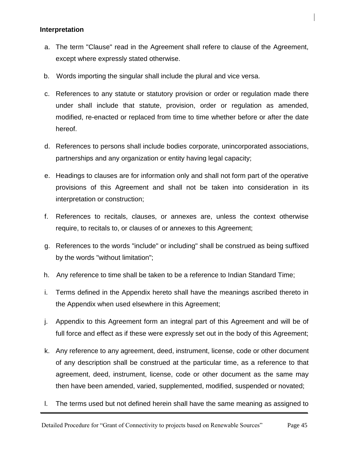#### **Interpretation**

- a. The term "Clause" read in the Agreement shall refere to clause of the Agreement, except where expressly stated otherwise.
- b. Words importing the singular shall include the plural and vice versa.
- c. References to any statute or statutory provision or order or regulation made there under shall include that statute, provision, order or regulation as amended, modified, re-enacted or replaced from time to time whether before or after the date hereof.
- d. References to persons shall include bodies corporate, unincorporated associations, partnerships and any organization or entity having legal capacity;
- e. Headings to clauses are for information only and shall not form part of the operative provisions of this Agreement and shall not be taken into consideration in its interpretation or construction;
- f. References to recitals, clauses, or annexes are, unless the context otherwise require, to recitals to, or clauses of or annexes to this Agreement;
- g. References to the words "include" or including" shall be construed as being suffixed by the words "without limitation";
- h. Any reference to time shall be taken to be a reference to Indian Standard Time;
- i. Terms defined in the Appendix hereto shall have the meanings ascribed thereto in the Appendix when used elsewhere in this Agreement;
- j. Appendix to this Agreement form an integral part of this Agreement and will be of full force and effect as if these were expressly set out in the body of this Agreement;
- k. Any reference to any agreement, deed, instrument, license, code or other document of any description shall be construed at the particular time, as a reference to that agreement, deed, instrument, license, code or other document as the same may then have been amended, varied, supplemented, modified, suspended or novated;
- l. The terms used but not defined herein shall have the same meaning as assigned to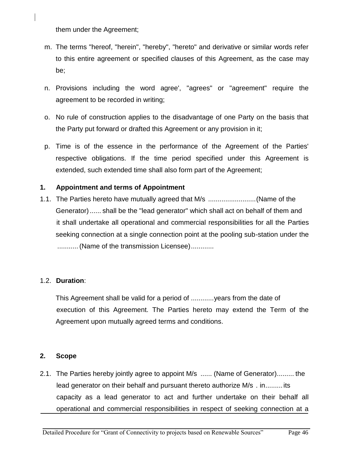them under the Agreement;

- m. The terms "hereof, "herein", "hereby", "hereto" and derivative or similar words refer to this entire agreement or specified clauses of this Agreement, as the case may be;
- n. Provisions including the word agree', "agrees" or "agreement" require the agreement to be recorded in writing;
- o. No rule of construction applies to the disadvantage of one Party on the basis that the Party put forward or drafted this Agreement or any provision in it;
- p. Time is of the essence in the performance of the Agreement of the Parties' respective obligations. If the time period specified under this Agreement is extended, such extended time shall also form part of the Agreement;

#### **1. Appointment and terms of Appointment**

1.1. The Parties hereto have mutually agreed that M/s .........................(Name of the Generator)...... shall be the "lead generator" which shall act on behalf of them and it shall undertake all operational and commercial responsibilities for all the Parties seeking connection at a single connection point at the pooling sub-station under the .............(Name of the transmission Licensee).............

#### 1.2. **Duration**:

This Agreement shall be valid for a period of ............years from the date of execution of this Agreement. The Parties hereto may extend the Term of the Agreement upon mutually agreed terms and conditions.

#### **2. Scope**

2.1. The Parties hereby jointly agree to appoint M/s ...... (Name of Generator)......... the lead generator on their behalf and pursuant thereto authorize M/s . in.........its capacity as a lead generator to act and further undertake on their behalf all operational and commercial responsibilities in respect of seeking connection at a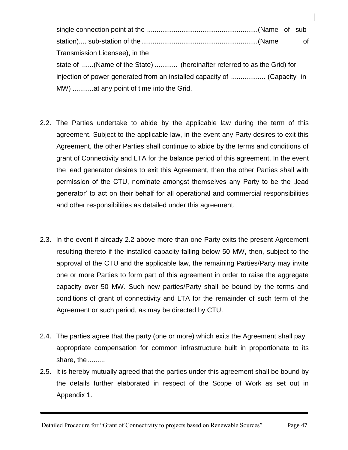single connection point at the ..........................................................(Name of substation).... sub-station of the.............................................................(Name of Transmission Licensee), in the state of ......(Name of the State) ............ (hereinafter referred to as the Grid) for injection of power generated from an installed capacity of .................. (Capacity in MW) ...........at any point of time into the Grid.

- 2.2. The Parties undertake to abide by the applicable law during the term of this agreement. Subject to the applicable law, in the event any Party desires to exit this Agreement, the other Parties shall continue to abide by the terms and conditions of grant of Connectivity and LTA for the balance period of this agreement. In the event the lead generator desires to exit this Agreement, then the other Parties shall with permission of the CTU, nominate amongst themselves any Party to be the "lead generator" to act on their behalf for all operational and commercial responsibilities and other responsibilities as detailed under this agreement.
- 2.3. In the event if already 2.2 above more than one Party exits the present Agreement resulting thereto if the installed capacity falling below 50 MW, then, subject to the approval of the CTU and the applicable law, the remaining Parties/Party may invite one or more Parties to form part of this agreement in order to raise the aggregate capacity over 50 MW. Such new parties/Party shall be bound by the terms and conditions of grant of connectivity and LTA for the remainder of such term of the Agreement or such period, as may be directed by CTU.
- 2.4. The parties agree that the party (one or more) which exits the Agreement shall pay appropriate compensation for common infrastructure built in proportionate to its share, the .........
- 2.5. It is hereby mutually agreed that the parties under this agreement shall be bound by the details further elaborated in respect of the Scope of Work as set out in Appendix 1.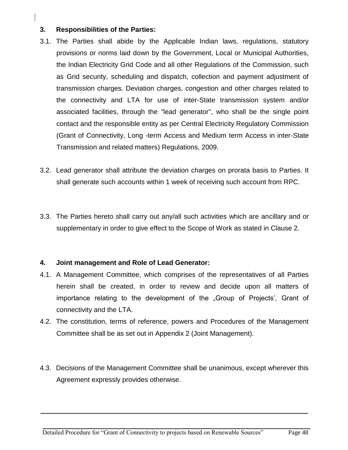## **3. Responsibilities of the Parties:**

- 3.1. The Parties shall abide by the Applicable Indian laws, regulations, statutory provisions or norms laid down by the Government, Local or Municipal Authorities, the Indian Electricity Grid Code and all other Regulations of the Commission, such as Grid security, scheduling and dispatch, collection and payment adjustment of transmission charges. Deviation charges, congestion and other charges related to the connectivity and LTA for use of inter-State transmission system and/or associated facilities, through the "lead generator", who shall be the single point contact and the responsible entity as per Central Electricity Regulatory Commission (Grant of Connectivity, Long -term Access and Medium term Access in inter-State Transmission and related matters) Regulations, 2009.
- 3.2. Lead generator shall attribute the deviation charges on prorata basis to Parties. It shall generate such accounts within 1 week of receiving such account from RPC.
- 3.3. The Parties hereto shall carry out any/all such activities which are ancillary and or supplementary in order to give effect to the Scope of Work as stated in Clause 2.

#### **4. Joint management and Role of Lead Generator:**

- 4.1. A Management Committee, which comprises of the representatives of all Parties herein shall be created, in order to review and decide upon all matters of importance relating to the development of the "Group of Projects', Grant of connectivity and the LTA.
- 4.2. The constitution, terms of reference, powers and Procedures of the Management Committee shall be as set out in Appendix 2 (Joint Management).
- 4.3. Decisions of the Management Committee shall be unanimous, except wherever this Agreement expressly provides otherwise.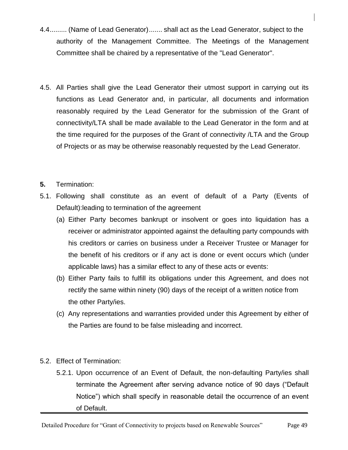- 4.4......... (Name of Lead Generator)....... shall act as the Lead Generator, subject to the authority of the Management Committee. The Meetings of the Management Committee shall be chaired by a representative of the "Lead Generator".
- 4.5. All Parties shall give the Lead Generator their utmost support in carrying out its functions as Lead Generator and, in particular, all documents and information reasonably required by the Lead Generator for the submission of the Grant of connectivity/LTA shall be made available to the Lead Generator in the form and at the time required for the purposes of the Grant of connectivity /LTA and the Group of Projects or as may be otherwise reasonably requested by the Lead Generator.
- **5.** Termination:
- 5.1. Following shall constitute as an event of default of a Party (Events of Default):leading to termination of the agreement
	- (a) Either Party becomes bankrupt or insolvent or goes into liquidation has a receiver or administrator appointed against the defaulting party compounds with his creditors or carries on business under a Receiver Trustee or Manager for the benefit of his creditors or if any act is done or event occurs which (under applicable laws) has a similar effect to any of these acts or events:
	- (b) Either Party fails to fulfill its obligations under this Agreement, and does not rectify the same within ninety (90) days of the receipt of a written notice from the other Party/ies.
	- (c) Any representations and warranties provided under this Agreement by either of the Parties are found to be false misleading and incorrect.
- 5.2. Effect of Termination:
	- 5.2.1. Upon occurrence of an Event of Default, the non-defaulting Party/ies shall terminate the Agreement after serving advance notice of 90 days ("Default Notice") which shall specify in reasonable detail the occurrence of an event of Default.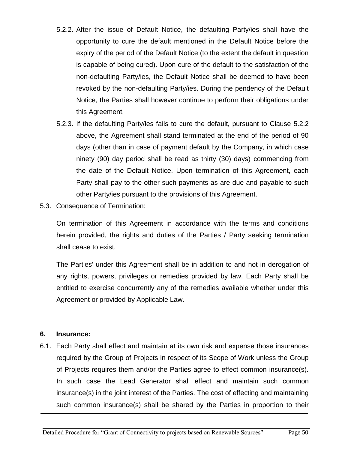- 5.2.2. After the issue of Default Notice, the defaulting Party/ies shall have the opportunity to cure the default mentioned in the Default Notice before the expiry of the period of the Default Notice (to the extent the default in question is capable of being cured). Upon cure of the default to the satisfaction of the non-defaulting Party/ies, the Default Notice shall be deemed to have been revoked by the non-defaulting Party/ies. During the pendency of the Default Notice, the Parties shall however continue to perform their obligations under this Agreement.
- 5.2.3. If the defaulting Party/ies fails to cure the default, pursuant to Clause 5.2.2 above, the Agreement shall stand terminated at the end of the period of 90 days (other than in case of payment default by the Company, in which case ninety (90) day period shall be read as thirty (30) days) commencing from the date of the Default Notice. Upon termination of this Agreement, each Party shall pay to the other such payments as are due and payable to such other Party/ies pursuant to the provisions of this Agreement.
- 5.3. Consequence of Termination:

On termination of this Agreement in accordance with the terms and conditions herein provided, the rights and duties of the Parties / Party seeking termination shall cease to exist.

The Parties' under this Agreement shall be in addition to and not in derogation of any rights, powers, privileges or remedies provided by law. Each Party shall be entitled to exercise concurrently any of the remedies available whether under this Agreement or provided by Applicable Law.

#### **6. Insurance:**

6.1. Each Party shall effect and maintain at its own risk and expense those insurances required by the Group of Projects in respect of its Scope of Work unless the Group of Projects requires them and/or the Parties agree to effect common insurance(s). In such case the Lead Generator shall effect and maintain such common insurance(s) in the joint interest of the Parties. The cost of effecting and maintaining such common insurance(s) shall be shared by the Parties in proportion to their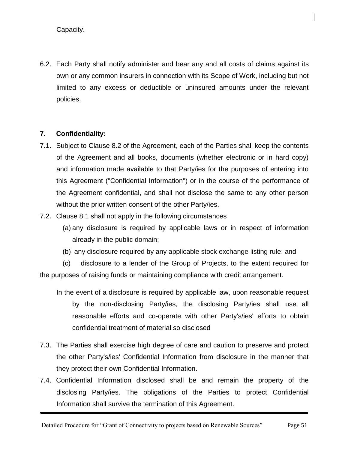Capacity.

6.2. Each Party shall notify administer and bear any and all costs of claims against its own or any common insurers in connection with its Scope of Work, including but not limited to any excess or deductible or uninsured amounts under the relevant policies.

#### **7. Confidentiality:**

- 7.1. Subject to Clause 8.2 of the Agreement, each of the Parties shall keep the contents of the Agreement and all books, documents (whether electronic or in hard copy) and information made available to that Party/ies for the purposes of entering into this Agreement ("Confidential Information") or in the course of the performance of the Agreement confidential, and shall not disclose the same to any other person without the prior written consent of the other Party/ies.
- 7.2. Clause 8.1 shall not apply in the following circumstances
	- (a) any disclosure is required by applicable laws or in respect of information already in the public domain;
	- (b) any disclosure required by any applicable stock exchange listing rule: and

(c) disclosure to a lender of the Group of Projects, to the extent required for the purposes of raising funds or maintaining compliance with credit arrangement.

- In the event of a disclosure is required by applicable law, upon reasonable request by the non-disclosing Party/ies, the disclosing Party/ies shall use all reasonable efforts and co-operate with other Party's/ies' efforts to obtain confidential treatment of material so disclosed
- 7.3. The Parties shall exercise high degree of care and caution to preserve and protect the other Party's/ies' Confidential Information from disclosure in the manner that they protect their own Confidential Information.
- 7.4. Confidential Information disclosed shall be and remain the property of the disclosing Party/ies. The obligations of the Parties to protect Confidential Information shall survive the termination of this Agreement.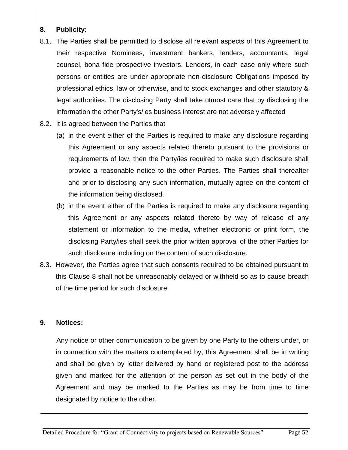## **8. Publicity:**

- 8.1. The Parties shall be permitted to disclose all relevant aspects of this Agreement to their respective Nominees, investment bankers, lenders, accountants, legal counsel, bona fide prospective investors. Lenders, in each case only where such persons or entities are under appropriate non-disclosure Obligations imposed by professional ethics, law or otherwise, and to stock exchanges and other statutory & legal authorities. The disclosing Party shall take utmost care that by disclosing the information the other Party's/ies business interest are not adversely affected
- 8.2. It is agreed between the Parties that
	- (a) in the event either of the Parties is required to make any disclosure regarding this Agreement or any aspects related thereto pursuant to the provisions or requirements of law, then the Party/ies required to make such disclosure shall provide a reasonable notice to the other Parties. The Parties shall thereafter and prior to disclosing any such information, mutually agree on the content of the information being disclosed.
	- (b) in the event either of the Parties is required to make any disclosure regarding this Agreement or any aspects related thereto by way of release of any statement or information to the media, whether electronic or print form, the disclosing Party/ies shall seek the prior written approval of the other Parties for such disclosure including on the content of such disclosure.
- 8.3. However, the Parties agree that such consents required to be obtained pursuant to this Clause 8 shall not be unreasonably delayed or withheld so as to cause breach of the time period for such disclosure.

#### **9. Notices:**

Any notice or other communication to be given by one Party to the others under, or in connection with the matters contemplated by, this Agreement shall be in writing and shall be given by letter delivered by hand or registered post to the address given and marked for the attention of the person as set out in the body of the Agreement and may be marked to the Parties as may be from time to time designated by notice to the other.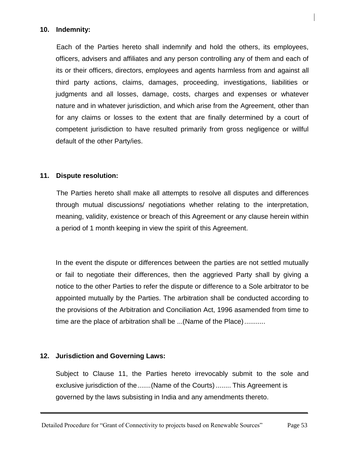#### **10. Indemnity:**

Each of the Parties hereto shall indemnify and hold the others, its employees, officers, advisers and affiliates and any person controlling any of them and each of its or their officers, directors, employees and agents harmless from and against all third party actions, claims, damages, proceeding, investigations, liabilities or judgments and all losses, damage, costs, charges and expenses or whatever nature and in whatever jurisdiction, and which arise from the Agreement, other than for any claims or losses to the extent that are finally determined by a court of competent jurisdiction to have resulted primarily from gross negligence or willful default of the other Party/ies.

#### **11. Dispute resolution:**

The Parties hereto shall make all attempts to resolve all disputes and differences through mutual discussions/ negotiations whether relating to the interpretation, meaning, validity, existence or breach of this Agreement or any clause herein within a period of 1 month keeping in view the spirit of this Agreement.

In the event the dispute or differences between the parties are not settled mutually or fail to negotiate their differences, then the aggrieved Party shall by giving a notice to the other Parties to refer the dispute or difference to a Sole arbitrator to be appointed mutually by the Parties. The arbitration shall be conducted according to the provisions of the Arbitration and Conciliation Act, 1996 asamended from time to time are the place of arbitration shall be ...(Name of the Place)...........

#### **12. Jurisdiction and Governing Laws:**

Subject to Clause 11, the Parties hereto irrevocably submit to the sole and exclusive jurisdiction of the.......(Name of the Courts)........ This Agreement is governed by the laws subsisting in India and any amendments thereto.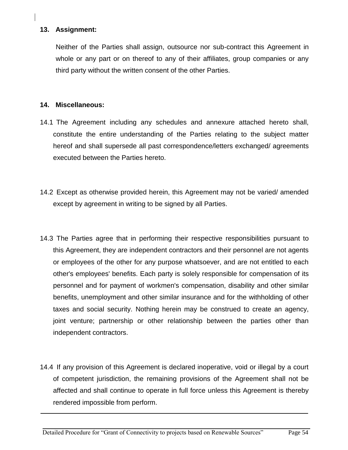## **13. Assignment:**

Neither of the Parties shall assign, outsource nor sub-contract this Agreement in whole or any part or on thereof to any of their affiliates, group companies or any third party without the written consent of the other Parties.

#### **14. Miscellaneous:**

- 14.1 The Agreement including any schedules and annexure attached hereto shall, constitute the entire understanding of the Parties relating to the subject matter hereof and shall supersede all past correspondence/letters exchanged/ agreements executed between the Parties hereto.
- 14.2 Except as otherwise provided herein, this Agreement may not be varied/ amended except by agreement in writing to be signed by all Parties.
- 14.3 The Parties agree that in performing their respective responsibilities pursuant to this Agreement, they are independent contractors and their personnel are not agents or employees of the other for any purpose whatsoever, and are not entitled to each other's employees' benefits. Each party is solely responsible for compensation of its personnel and for payment of workmen's compensation, disability and other similar benefits, unemployment and other similar insurance and for the withholding of other taxes and social security. Nothing herein may be construed to create an agency, joint venture; partnership or other relationship between the parties other than independent contractors.
- 14.4 If any provision of this Agreement is declared inoperative, void or illegal by a court of competent jurisdiction, the remaining provisions of the Agreement shall not be affected and shall continue to operate in full force unless this Agreement is thereby rendered impossible from perform.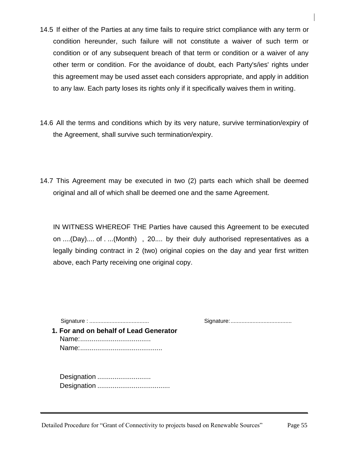- 14.5 If either of the Parties at any time fails to require strict compliance with any term or condition hereunder, such failure will not constitute a waiver of such term or condition or of any subsequent breach of that term or condition or a waiver of any other term or condition. For the avoidance of doubt, each Party's/ies' rights under this agreement may be used asset each considers appropriate, and apply in addition to any law. Each party loses its rights only if it specifically waives them in writing.
- 14.6 All the terms and conditions which by its very nature, survive termination/expiry of the Agreement, shall survive such termination/expiry.
- 14.7 This Agreement may be executed in two (2) parts each which shall be deemed original and all of which shall be deemed one and the same Agreement.

IN WITNESS WHEREOF THE Parties have caused this Agreement to be executed on ....(Day).... of . ...(Month) , 20.... by their duly authorised representatives as a legally binding contract in 2 (two) original copies on the day and year first written above, each Party receiving one original copy.

Signature : ...................................... Signature:.......................................

**1. For and on behalf of Lead Generator** Name:..................................... Name:...........................................

Designation ............................. Designation ......................................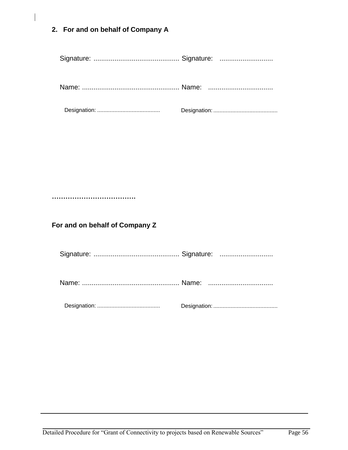**2. For and on behalf of Company A**

|--|--|--|

**……………………………….**

**For and on behalf of Company Z**

Signature: ............................................. Signature: ............................

Name: ................................................... Name: ..................................

Designation: ........................................ Designation:.........................................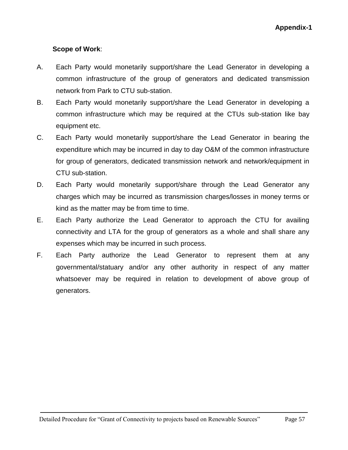**Appendix-1**

## **Scope of Work**:

- A. Each Party would monetarily support/share the Lead Generator in developing a common infrastructure of the group of generators and dedicated transmission network from Park to CTU sub-station.
- B. Each Party would monetarily support/share the Lead Generator in developing a common infrastructure which may be required at the CTUs sub-station like bay equipment etc.
- C. Each Party would monetarily support/share the Lead Generator in bearing the expenditure which may be incurred in day to day O&M of the common infrastructure for group of generators, dedicated transmission network and network/equipment in CTU sub-station.
- D. Each Party would monetarily support/share through the Lead Generator any charges which may be incurred as transmission charges/losses in money terms or kind as the matter may be from time to time.
- E. Each Party authorize the Lead Generator to approach the CTU for availing connectivity and LTA for the group of generators as a whole and shall share any expenses which may be incurred in such process.
- F. Each Party authorize the Lead Generator to represent them at any governmental/statuary and/or any other authority in respect of any matter whatsoever may be required in relation to development of above group of generators.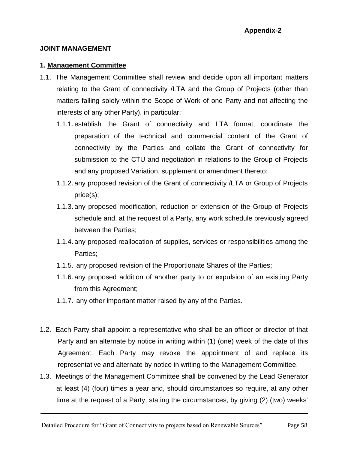#### **JOINT MANAGEMENT**

#### **1. Management Committee**

- 1.1. The Management Committee shall review and decide upon all important matters relating to the Grant of connectivity /LTA and the Group of Projects (other than matters falling solely within the Scope of Work of one Party and not affecting the interests of any other Party), in particular:
	- 1.1.1. establish the Grant of connectivity and LTA format, coordinate the preparation of the technical and commercial content of the Grant of connectivity by the Parties and collate the Grant of connectivity for submission to the CTU and negotiation in relations to the Group of Projects and any proposed Variation, supplement or amendment thereto;
	- 1.1.2. any proposed revision of the Grant of connectivity /LTA or Group of Projects price(s);
	- 1.1.3. any proposed modification, reduction or extension of the Group of Projects schedule and, at the request of a Party, any work schedule previously agreed between the Parties;
	- 1.1.4. any proposed reallocation of supplies, services or responsibilities among the Parties;
	- 1.1.5. any proposed revision of the Proportionate Shares of the Parties;
	- 1.1.6. any proposed addition of another party to or expulsion of an existing Party from this Agreement;
	- 1.1.7. any other important matter raised by any of the Parties.
- 1.2. Each Party shall appoint a representative who shall be an officer or director of that Party and an alternate by notice in writing within (1) (one) week of the date of this Agreement. Each Party may revoke the appointment of and replace its representative and alternate by notice in writing to the Management Committee.
- 1.3. Meetings of the Management Committee shall be convened by the Lead Generator at least (4) (four) times a year and, should circumstances so require, at any other time at the request of a Party, stating the circumstances, by giving (2) (two) weeks'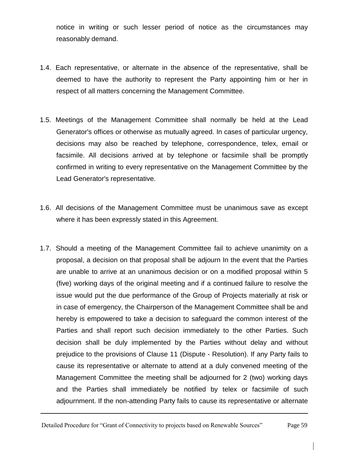notice in writing or such lesser period of notice as the circumstances may reasonably demand.

- 1.4. Each representative, or alternate in the absence of the representative, shall be deemed to have the authority to represent the Party appointing him or her in respect of all matters concerning the Management Committee.
- 1.5. Meetings of the Management Committee shall normally be held at the Lead Generator's offices or otherwise as mutually agreed. In cases of particular urgency, decisions may also be reached by telephone, correspondence, telex, email or facsimile. All decisions arrived at by telephone or facsimile shall be promptly confirmed in writing to every representative on the Management Committee by the Lead Generator's representative.
- 1.6. All decisions of the Management Committee must be unanimous save as except where it has been expressly stated in this Agreement.
- 1.7. Should a meeting of the Management Committee fail to achieve unanimity on a proposal, a decision on that proposal shall be adjourn In the event that the Parties are unable to arrive at an unanimous decision or on a modified proposal within 5 (five) working days of the original meeting and if a continued failure to resolve the issue would put the due performance of the Group of Projects materially at risk or in case of emergency, the Chairperson of the Management Committee shall be and hereby is empowered to take a decision to safeguard the common interest of the Parties and shall report such decision immediately to the other Parties. Such decision shall be duly implemented by the Parties without delay and without prejudice to the provisions of Clause 11 (Dispute - Resolution). If any Party fails to cause its representative or alternate to attend at a duly convened meeting of the Management Committee the meeting shall be adjourned for 2 (two) working days and the Parties shall immediately be notified by telex or facsimile of such adjournment. If the non-attending Party fails to cause its representative or alternate